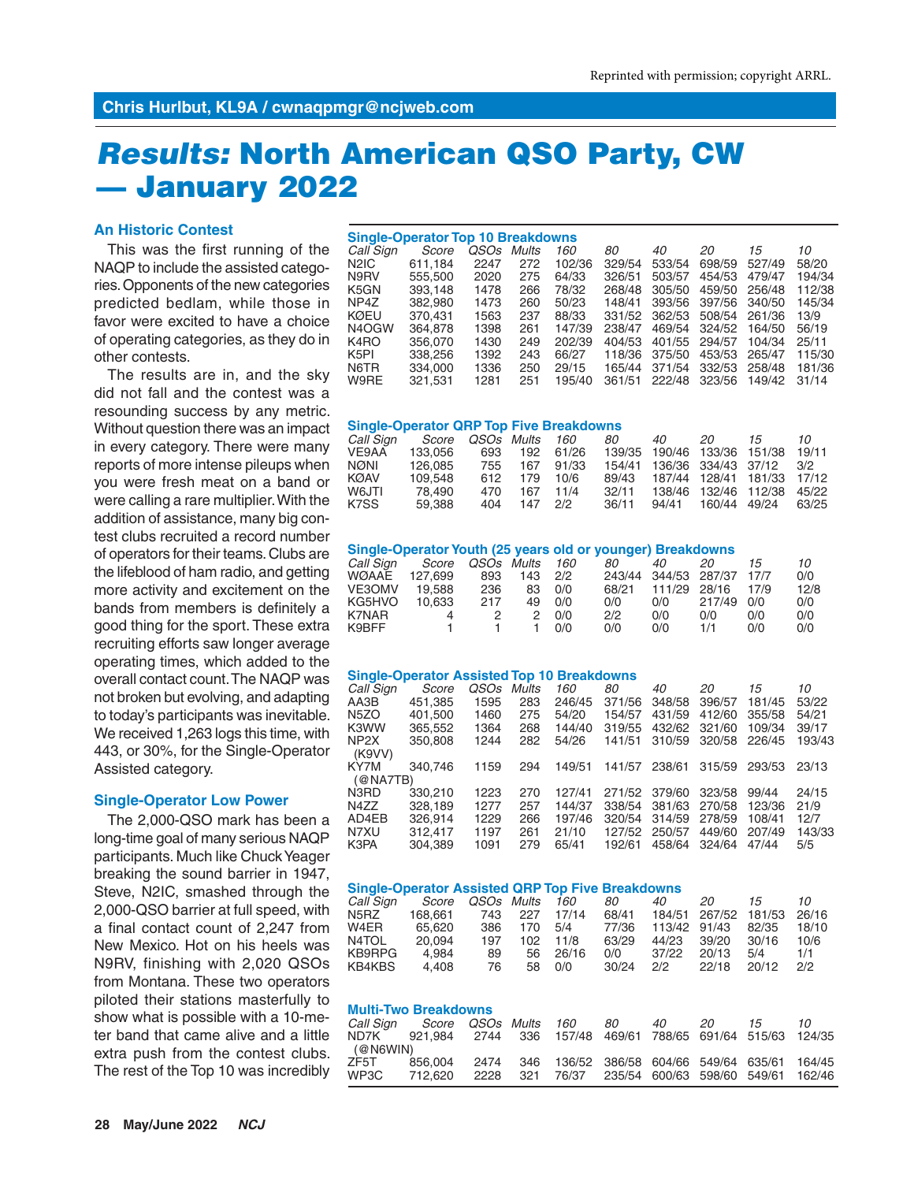# *Results:* **North American QSO Party, CW — January 2022**

## **An Historic Contest**

This was the first running of the NAQP to include the assisted categories. Opponents of the new categories predicted bedlam, while those in favor were excited to have a choice of operating categories, as they do in other contests.

The results are in, and the sky did not fall and the contest was a resounding success by any metric. Without question there was an impact in every category. There were many reports of more intense pileups when you were fresh meat on a band or were calling a rare multiplier. With the addition of assistance, many big contest clubs recruited a record number of operators for their teams. Clubs are the lifeblood of ham radio, and getting more activity and excitement on the bands from members is definitely a good thing for the sport. These extra recruiting efforts saw longer average operating times, which added to the overall contact count. The NAQP was not broken but evolving, and adapting to today's participants was inevitable. We received 1,263 logs this time, with 443, or 30%, for the Single-Operator Assisted category.

#### **Single-Operator Low Power**

The 2,000-QSO mark has been a long-time goal of many serious NAQP participants. Much like Chuck Yeager breaking the sound barrier in 1947, Steve, N2IC, smashed through the 2,000-QSO barrier at full speed, with a final contact count of 2,247 from New Mexico. Hot on his heels was N9RV, finishing with 2,020 QSOs from Montana. These two operators piloted their stations masterfully to show what is possible with a 10-meter band that came alive and a little extra push from the contest clubs. The rest of the Top 10 was incredibly

| <b>Single-Operator Top 10 Breakdowns</b> |         |             |       |        |        |        |        |        |        |  |  |  |
|------------------------------------------|---------|-------------|-------|--------|--------|--------|--------|--------|--------|--|--|--|
| Call Sign                                | Score   | <i>OSOs</i> | Mults | 160    | 80     | 40     | 20     | 15     | 10     |  |  |  |
| N2IC                                     | 611.184 | 2247        | 272   | 102/36 | 329/54 | 533/54 | 698/59 | 527/49 | 58/20  |  |  |  |
| N9RV                                     | 555,500 | 2020        | 275   | 64/33  | 326/51 | 503/57 | 454/53 | 479/47 | 194/34 |  |  |  |
| K5GN                                     | 393.148 | 1478        | 266   | 78/32  | 268/48 | 305/50 | 459/50 | 256/48 | 112/38 |  |  |  |
| NP4Z                                     | 382.980 | 1473        | 260   | 50/23  | 148/41 | 393/56 | 397/56 | 340/50 | 145/34 |  |  |  |
| KØEU                                     | 370.431 | 1563        | 237   | 88/33  | 331/52 | 362/53 | 508/54 | 261/36 | 13/9   |  |  |  |
| N4OGW                                    | 364,878 | 1398        | 261   | 147/39 | 238/47 | 469/54 | 324/52 | 164/50 | 56/19  |  |  |  |
| K4RO                                     | 356,070 | 1430        | 249   | 202/39 | 404/53 | 401/55 | 294/57 | 104/34 | 25/11  |  |  |  |
| K <sub>5</sub> PI                        | 338,256 | 1392        | 243   | 66/27  | 118/36 | 375/50 | 453/53 | 265/47 | 115/30 |  |  |  |
| N6TR                                     | 334.000 | 1336        | 250   | 29/15  | 165/44 | 371/54 | 332/53 | 258/48 | 181/36 |  |  |  |
| W9RE                                     | 321.531 | 1281        | 251   | 195/40 | 361/51 | 222/48 | 323/56 | 149/42 | 31/14  |  |  |  |

#### **Single-Operator QRP Top Five Breakdowns**

|        |                                        |     |            |              | 40    | 20 | 15 | 10                                                                                                                                  |
|--------|----------------------------------------|-----|------------|--------------|-------|----|----|-------------------------------------------------------------------------------------------------------------------------------------|
|        |                                        | 192 | 61/26      |              |       |    |    | 19/11                                                                                                                               |
|        | 755                                    | 167 | 91/33      |              |       |    |    |                                                                                                                                     |
|        | 612.                                   | 179 | 10/6       | 89/43        |       |    |    |                                                                                                                                     |
| 78.490 | 470                                    | 167 | 11/4       | 32/11        |       |    |    | 45/22                                                                                                                               |
| 59.388 | 404                                    |     | 2/2        | 36/11        | 94/41 |    |    | 63/25                                                                                                                               |
|        | Score<br>133.056<br>126.085<br>109.548 | 693 | OSOs Mults | - 160<br>147 | 80    |    |    | 139/35 190/46 133/36 151/38<br>154/41 136/36 334/43 37/12 3/2<br>187/44 128/41 181/33 17/12<br>138/46 132/46 112/38<br>160/44 49/24 |

#### **Single-Operator Youth (25 years old or younger) Breakdowns**

| 10   |
|------|
| 0/0  |
| 12/8 |
| 0/0  |
| 0/0  |
| 0/0  |
|      |

#### **Single-Operator Assisted Top 10 Breakdowns**

| Call Sign         | Score   | <i>OSOs</i> | Mults | 160    | 80     | 40     | 20     | 15     | 10     |
|-------------------|---------|-------------|-------|--------|--------|--------|--------|--------|--------|
| AA3B              | 451.385 | 1595        | 283   | 246/45 | 371/56 | 348/58 | 396/57 | 181/45 | 53/22  |
| N <sub>5</sub> ZO | 401.500 | 1460        | 275   | 54/20  | 154/57 | 431/59 | 412/60 | 355/58 | 54/21  |
| K3WW              | 365.552 | 1364        | 268   | 144/40 | 319/55 | 432/62 | 321/60 | 109/34 | 39/17  |
| NP <sub>2</sub> X | 350,808 | 1244        | 282   | 54/26  | 141/51 | 310/59 | 320/58 | 226/45 | 193/43 |
| (K9VV)            |         |             |       |        |        |        |        |        |        |
| KY7M              | 340.746 | 1159        | 294   | 149/51 | 141/57 | 238/61 | 315/59 | 293/53 | 23/13  |
| (@NAYTB)          |         |             |       |        |        |        |        |        |        |
| N3RD              | 330,210 | 1223        | 270   | 127/41 | 271/52 | 379/60 | 323/58 | 99/44  | 24/15  |
| N4ZZ              | 328.189 | 1277        | 257   | 144/37 | 338/54 | 381/63 | 270/58 | 123/36 | 21/9   |
| AD4EB             | 326.914 | 1229        | 266   | 197/46 | 320/54 | 314/59 | 278/59 | 108/41 | 12/7   |
| N7XU              | 312.417 | 1197        | 261   | 21/10  | 127/52 | 250/57 | 449/60 | 207/49 | 143/33 |
| K3PA              | 304.389 | 1091        | 279   | 65/41  | 192/61 | 458/64 | 324/64 | 47/44  | 5/5    |

| <b>Single-Operator Assisted QRP Top Five Breakdowns</b> |         |            |      |       |       |        |        |        |       |  |  |  |  |
|---------------------------------------------------------|---------|------------|------|-------|-------|--------|--------|--------|-------|--|--|--|--|
| Call Sign                                               | Score   | QSOs Mults |      | 160   | 80    | 40     | 20     | 15     | 10    |  |  |  |  |
| N5RZ                                                    | 168,661 | 743        | 227  | 17/14 | 68/41 | 184/51 | 267/52 | 181/53 | 26/16 |  |  |  |  |
| W4ER                                                    | 65.620  | 386        | 170  | 5/4   | 77/36 | 113/42 | 91/43  | 82/35  | 18/10 |  |  |  |  |
| N4TOL                                                   | 20.094  | 197        | 102. | 11/8  | 63/29 | 44/23  | 39/20  | 30/16  | 10/6  |  |  |  |  |
| KB9RPG                                                  | 4.984   | 89         | 56   | 26/16 | 0/0   | 37/22  | 20/13  | 5/4    | 1/1   |  |  |  |  |
| KB4KBS                                                  | 4.408   | 76         | 58   | 0/0   | 30/24 | 2/2    | 22/18  | 20/12  | 2/2   |  |  |  |  |

#### **Multi-Two Breakdowns**

| Call Sign | Score QSOs Mults 160   80                                         |  |  | 40 20 | 15 | 10 |
|-----------|-------------------------------------------------------------------|--|--|-------|----|----|
|           | ND7K 921.984 2744 336 157/48 469/61 788/65 691/64 515/63 124/35   |  |  |       |    |    |
| (@N6WIN)  |                                                                   |  |  |       |    |    |
|           | ZF5T 856.004 2474 346 136/52 386/58 604/66 549/64 635/61 164/45   |  |  |       |    |    |
| WP3C      | 712,620  2228  321  76/37  235/54  600/63  598/60  549/61  162/46 |  |  |       |    |    |
|           |                                                                   |  |  |       |    |    |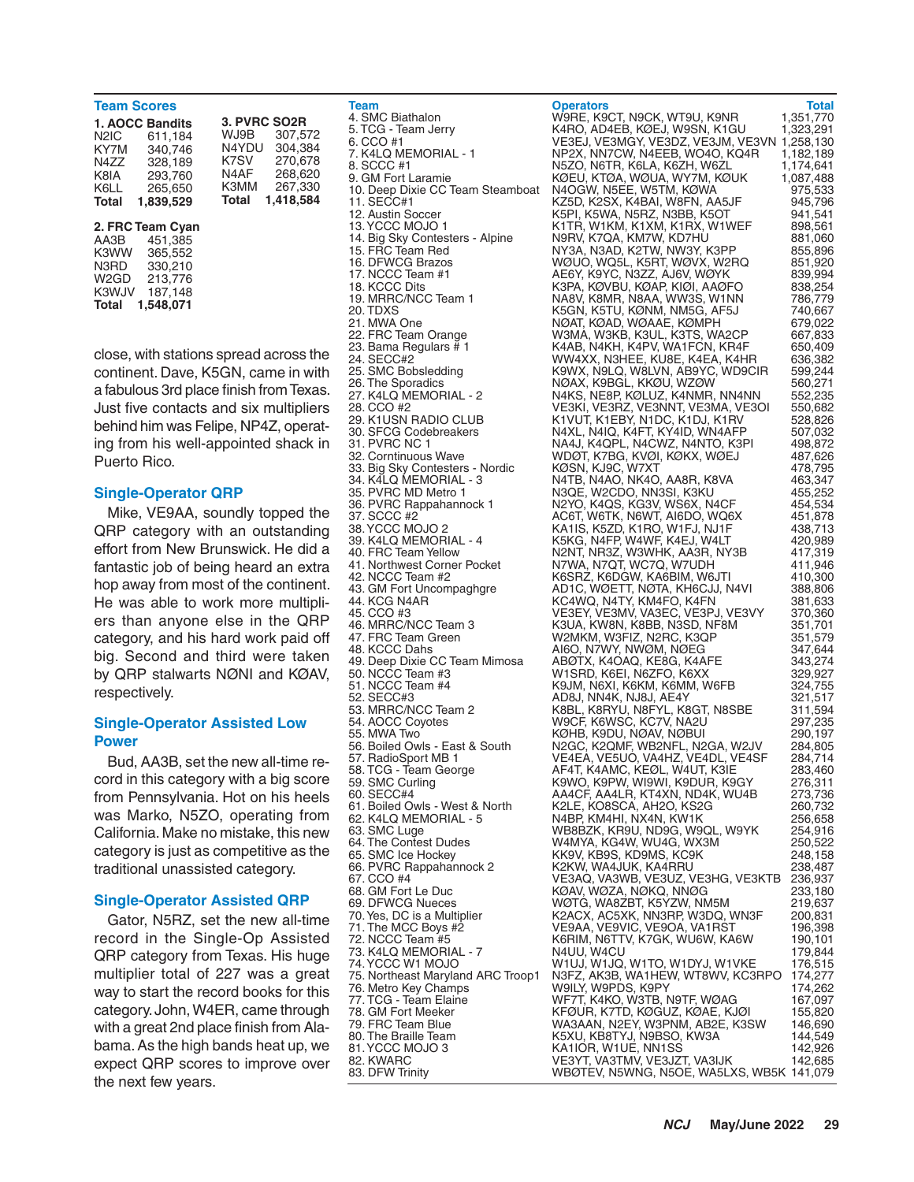| <b>Team Scores</b>                                         |                                                                                      |                                                                                                                                                 |
|------------------------------------------------------------|--------------------------------------------------------------------------------------|-------------------------------------------------------------------------------------------------------------------------------------------------|
| N <sub>2</sub> IC<br>KY7M<br>N4ZZ<br>K8IA<br>K6LL<br>Total | 1. AOCC Bandits<br>611.184<br>340.746<br>328,189<br>293.760<br>265.650<br>1.839.529  | 3. PVRC SO <sub>2</sub> R<br>WJ9B<br>307.572<br>304.384<br>N4YDU<br>K7SV<br>270.678<br>N4AF<br>268,620<br>267.330<br>K3MM<br>1.418.584<br>Total |
| AA3B<br>K3WW<br>N3RD<br>W2GD<br>K3WJV<br>Total             | 2. FRC Team Cyan<br>451.385<br>365,552<br>330.210<br>213.776<br>187,148<br>1.548,071 |                                                                                                                                                 |

close, with stations spread across the continent. Dave, K5GN, came in with a fabulous 3rd place finish from Texas. Just five contacts and six multipliers behind him was Felipe, NP4Z, operating from his well-appointed shack in Puerto Rico.

### **Single-Operator QRP**

Mike, VE9AA, soundly topped the QRP category with an outstanding effort from New Brunswick. He did a fantastic job of being heard an extra hop away from most of the continent. He was able to work more multipliers than anyone else in the QRP category, and his hard work paid off big. Second and third were taken by QRP stalwarts NØNI and KØAV, respectively.

## **Single-Operator Assisted Low Power**

Bud, AA3B, set the new all-time record in this category with a big score from Pennsylvania. Hot on his heels was Marko, N5ZO, operating from California. Make no mistake, this new category is just as competitive as the traditional unassisted category.

#### **Single-Operator Assisted QRP**

Gator, N5RZ, set the new all-time record in the Single-Op Assisted QRP category from Texas. His huge multiplier total of 227 was a great way to start the record books for this category. John, W4ER, came through with a great 2nd place finish from Alabama. As the high bands heat up, we expect QRP scores to improve over the next few years.

4. SMC Biathalon W9RE, K9CT, N9CK, WT9U, K9NR<br>5. TCG - Team Jerry K4RO, AD4EB, KØEJ, W9SN, K1GI

**Team Total Characters Constants Constant Operators** Total Total 4. SMC Biathalon Muslem Constant Constant Operators Ware Total Unit Operators Constant Operators Total Operators Total Unit Operators Constant Operators Cons 5. TCG - Team Jerry K4RO, AD4EB, KØEJ, W9SN, K1GU 1,323,291 6. CCO #1 VE3EJ, VE3MGY, VE3DZ, VE3JM, VE3VN 1,258,130 7. K4LQ MEMORIAL - 1 NP2X, NN7CW, N4EEB, WO4O, KQ4R 1,182,189 8. SCCC #1 **N5ZO, N6TR, K6LA, K6ZH, W6ZL 1,174,641**<br>9. GM Fort Laramie **NGCL K6LA, KGLA, WGLIA, WY7M, KGLIK** 1,087,488 KØEU, KTØA, WØUA, WY7M, KØUK<br>N4OGW, N5EE, W5TM, KØWA 10. Deep Dixie CC Team Steamboat N4OGW, N5EE, W5TM, KØWA 975,533<br>11. SECC#1 945.796 KZ5D, K2SX, K4BAI, W8FN, AA5JF 945.796 11. SECC#1 CONDUCTS MARK (K2SD, K2SX, K4BAI, W8FN, AA5JF 945,796<br>12. Austin Soccer K5PL K5WA, N5RZ, N3BB, K5OT 941.541 12. Austin Soccer K5PI, K5WA, N5RZ, N3BB, K5OT 941,541 K1TR, W1KM, K1XM, K1RX, W1WEF 898,561<br>N9RV, K7QA, KM7W, KD7HU 881,060 14. Big Sky Contesters - Alpine N9RV, K7QA, KM7W, KD7HU 881,060<br>15. FRC Team Red NY3A, N3AD, K2TW, NW3Y, K3PP 855,896 15. FRC Team Red NY3A, N3AD, K2TW, NW3Y, K3PP 855,896 16. DFWCG Brazos WØUO, WQ5L, K5RT, WØVX, W2RQ 851,920 17. NCCC Team #1 AE6Y, K9YC, N3ZZ, AJ6V, WØYK 839,994 18. KCCC Dits K3PA, KØVBU, KØAP, KIØI, AAØFO 838,254 19. MRRC/NCC Team 1 NA8V, K8MR, N8AA, WW3S, W1NN 786,779<br>20. TDXS K5GN, K5TU, KØNM, NM5G, AF5J 740,667 20. TDXS K5GN, K5TU, KØNM, NM5G, AF5J 740,667 21. MWA One NØAT, KØAD, WØAAE, KØMPH 679,022 22. FRC Team Orange W3MA, W3KB, K3UL, K3TS, WA2CP 667,833 23. Bama Regulars # 1 K4AB, N4KH, K4PV, WA1FCN, KR4F 650,409 24. SECC#2 MW4XX, N3HEE, KU8E, K4EA, K4HR 636,382<br>25. SMC Bobsledding K9WX, N9LQ, W8LVN, AB9YC, WD9CIR 599,244 25. SMC Bobsledding K9WX, N9LQ, W8LVN, AB9YC, WD9CIR 599,244 26. The Sporadics NØAX, K9BGL, KKØU, WZØW 560,271 27. K4LQ MEMORIAL - 2 N4KS, NE8P, KØLUZ, K4NMR, NN4NN 552,235<br>28. CCO #2 VE3KL VE3RZ, VE3MNT VE3MA, VE3OL 550,682 28. CCO #2 VE3KI, VE3RZ, VE3NNT, VE3MA, VE3OI 550,682 29. K1USN RADIO CLUB K1VUT, K1EBY, N1DC, K1DJ, K1RV 528,826 30. SFCG Codebreakers N4XL, N4IQ, K4FT, KY4ID, WN4AFP 507,032 31. PVRC NC 1 **NA4J, K4QPL, N4CWZ, N4NTO, K3PI** 498,872<br>32. Corntinuous Wave **NA4J, K4QPL, K7BG, KVØI, KØKX, WØEJ** 487,626 32. Corntinuous Wave WDØT, K7BG, KVØI, KØKX, WØEJ 487,626 33. Big Sky Contesters - Nordic KØSN, KJ9C, W7XT 478,795 34. K4LQ MEMORIAL - 3 N4TB, N4AO, NK4O, AA8R, K8VA 463,347<br>35. PVRC MD Metro 1 N3QE, W2CDO, NN3SI, K3KU 455,252 35. PVRC MD Metro 1 N3QE, W2CDO, NN3SI, K3KU 455,252 36. PVRC Rappahannock 1 N2YO, K4QS, KG3V, WS6X, N4CF 454,534 37. SCCC #2 **AC6T, W6TK, N6WT, AI6DO, WQ6X** 451,878<br>38. YCCC MOJO 2 **AC6T, W6TK, AI6DO, W1FJ, NJ1F** 438.713 38. YCCC MOJO 2 KA1IS, K5ZD, K1RO, W1FJ, NJ1F 438,713 K5KG, N4FP, W4WF, K4EJ, W4LT 40. FRC Team Yellow N2NT, NR3Z, W3WHK, AA3R, NY3B 417,319 41. Northwest Corner Pocket N7WA, N7QT, WC7Q, W7UDH 411,946 42. NCCC Team #2 **K6SRZ, K6DGW, KA6BIM, W6JTI** 410,300<br>43. GM Fort Uncompaghgre AD1C, WØETT, NØTA, KH6CJJ, N4VI 388,806 43. GM Fort Uncompaghgre AD1C, WØETT, NØTA, KH6CJJ, N4VI 388,806 44. KCG N4AR KC4WQ, N4TY, KM4FO, K4FN 381,633 45. CCO #3 VE3EY, VE3MV, VA3EC, VE3PJ, VE3VY 370,360 46. MRRC/NCC Team 3 K3UA, KW8N, K8BB, N3SD, NF8M 351,701 47. FRC Team Green W2MKM, W3FIZ, N2RC, K3QP 351,579 4160, N7WY, NWØM, NØEG 347,644<br>ABØTX, K4OAQ, KE8G, K4AFE 343,274 49. Deep Dixie CC Team Mimosa ABØTX, K4OAQ, KE8G, K4AFE 343,274 50. NCCC Team #3 W1SRD, K6EI, N6ZFO, K6XX 329,927 51. NCCC Team #4 K9JM, N6XI, K6KM, K6MM, W6FB 324,755 52. SECC#3 AD8J, NN4K, NJ8J, AE4Y 321,517 53. MRRC/NCC Team 2 K8BL, K8RYU, N8FYL, K8GT, N8SBE 311,594 54. AOCC Coyotes W9CF, K6WSC, KC7V, NA2U 297,235 55. MWA Two **COMB TWA TWA TWA KØHB, K9DU, NØAV, NØBUI** 290, 197<br>56. Boiled Owls - East & South N2GC, K2QMF, WB2NFL, N2GA, W2JV 284,805 56. Boiled Owls - East & South N2GC, K2QMF, WB2NFL, N2GA, W2JV 284,805 57. RadioSport MB 1 VE4EA, VE5UO, VA4HZ, VE4DL, VE4SF 284,714 58. TCG - Team George AF4T, K4AMC, KEØL, W4UT, K3IE 283,460 59. SMC Curling K9WO, K9PW, WI9WI, K9DUR, K9GY 276,311 60. SECC#4 AA4CF, AA4LR, KT4XN, ND4K, WU4B 273,736 61. Boiled Owls - West & North K2LE, KO8SCA, AH2O, KS2G 260,732 62. K4LQ MEMORIAL - 5 N4BP, KM4HI, NX4N, KW1K 256,658 63. SMC Luge WB8BZK, KR9U, ND9G, W9QL, W9YK 254,916<br>64. The Contest Dudes W4MYA, KG4W, WU4G, WX3M 250,522 64. The Contest Dudes W4MYA, KG4W, WU4G, WX3M 250,522 65. KB9S, KD9MS, KC9K 248,158<br>158. K2KW, WA4JUK, KA4RRU 66. PVRC Rappahannock 2 K2KW, WA4JUK, KA4RRU 238,487<br>67. CCO #4 CE3AQ, VA3WB, VE3UZ, VE3HG, VE3KTB 236,937 67. CCO #4 VE3AQ, VA3WB, VE3UZ, VE3HG, VE3KTB 236,937 68. GM Fort Le Duc KØAV, WØZA, NØKQ, NNØG 233,180 69. DFWCG Nueces WØTG, WA8ZBT, K5YZW, NM5M 219,637 70. Yes, DC is a Multiplier K2ACX, AC5XK, NN3RP, W3DQ, WN3F 200,831 71. The MCC Boys #2 VE9AA, VE9VIC, VE9OA, VA1RST 196,398 72. NCCC Team #5 K6RIM, N6TTV, K7GK, WU6W, KA6W 190,101 73. K4LQ MEMORIAL - 7 N4UU, W4CU 179,844 74. YCCC W1 MOJO W1UJ, W1JQ, W1TO, W1DYJ, W1VKE 176,515<br>75. Northeast Maryland ARC Troop1 N3FZ, AK3B, WA1HEW, WT8WV, KC3RPO 174,277 75. Northeast Maryland ARC Troop1 N3FZ, AK3B, WA1HEW, WT8WV, KC3RPO 174,277 76. Metro Key Champs W9ILY, W9PDS, K9PY 174,262 77. TCG - Team Elaine WF7T, K4KO, W3TB, N9TF, WØAG 167,097 78. GM Fort Meeker KFØUR, K7TD, KØGUZ, KØAE, KJØI 155,820 79. FRC Team Blue WA3AAN, N2EY, W3PNM, AB2E, K3SW 146,690 80. The Braille Team K5XU, KB8TYJ, N9BSO, KW3A 144,549 81. YCCC MOJO 3 KA1IOR, W1UE, NN1SS 142,926 82. KWARC VE3YT, VA3TMV, VE3JZT, VA3IJK 142,685 WBØTEV, N5WNG, N5OE, WA5LXS, WB5K 141,079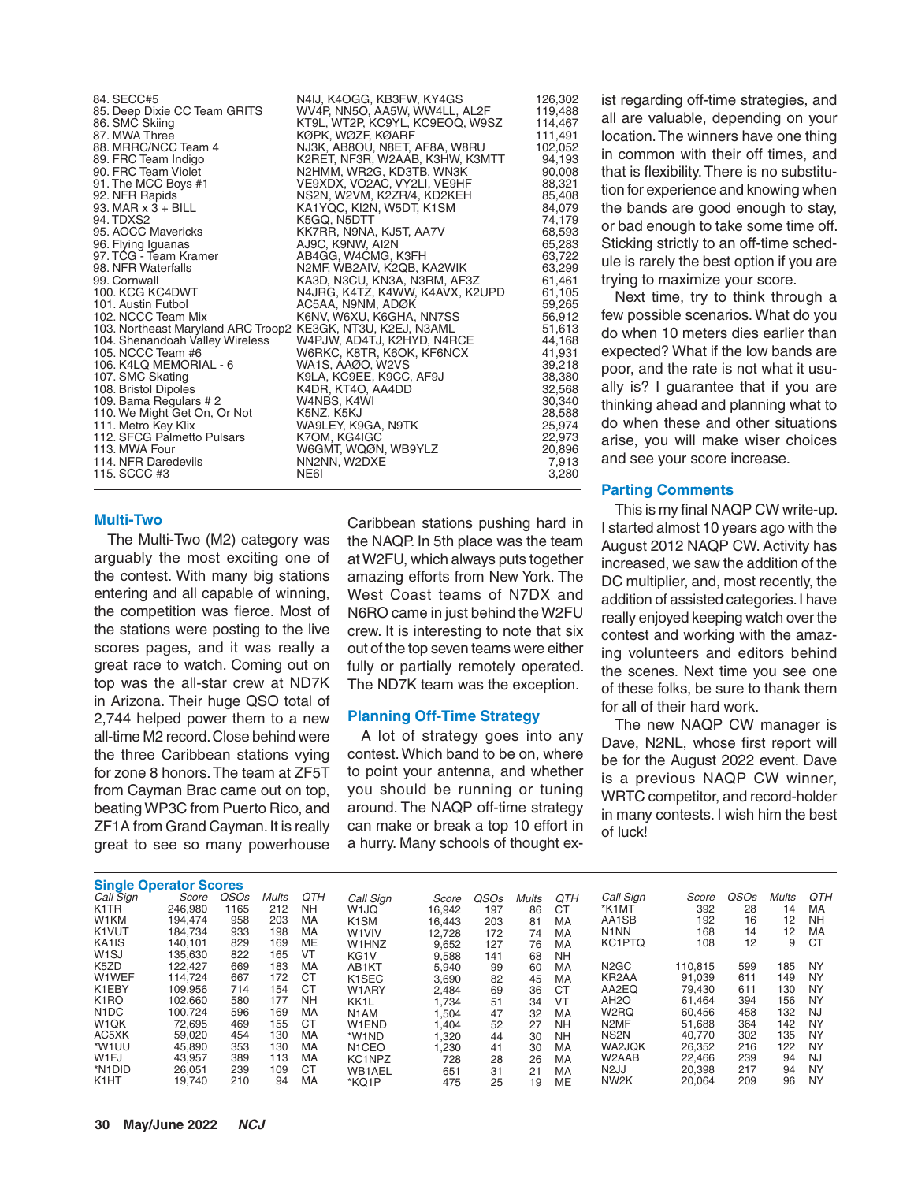84. SECC#5 **N4IJ, K4OGG, KB3FW, KY4GS** 126,302<br>85. Deep Dixie CC Team GRITS WV4P, NN5O, AA5W, WW4LL, AL2F 119,488 85. Deep Dixie CC Team GRITS WAP, NN5O, AA5W, WW4LL, AL2F 119,488<br>86. SMC Skiing KT9L, WT2P, KC9YL, KC9EOQ, W9SZ 114,467 86. SMC Skiing KT9L, WT2P, KC9YL, KC9EOQ, W9SZ 114,467 87. MWA Three KØPK, WØZF, KØARF 111,491 88. MRRC/NCC Team 4 NJ3K, AB8OU, N8ET, AF8A, W8RU 102,052 89. FRC Team Indigo K2RET, NF3R, W2AAB, K3HW, K3MTT 94,193 90. FRC Team Violet N2HMM, WR2G, KD3TB, WN3K 90,008 91. The MCC Boys #1 VE9XDX, VO2AC, VY2LI, VE9HF 88,321 92. NFR Rapids NS2N, W2VM, K2ZR/4, KD2KEH 85,408 93. MAR x 3 + BILL KA1YQC, KI2N, W5DT, K1SM 84,079 94. TDXS2 K5GQ, N5DTT 74,179 95,593. KK7RR, N9NA, KJ5T, AA7V 68,593<br>1990, K9NW, AI2N 65,283 96. Flying Iguanas AJ9C, K9NW, AI2N 65,283 97. TCG - Team Kramer AB4GG, W4CMG, K3FH 63,722 98. NFR Waterfalls N2MF, WB2AIV, K2QB, KA2WIK 63,299 99. Cornwall KA3D, N3CU, KN3A, N3RM, AF3Z 61,461<br>100. KCG KC4DWT N4JRG. K4TZ. K4WW. K4AVX. K2UPD 61.105 100. KCG KC4DWT N4JRG, K4TZ, K4WW, K4AVX, K2UPD 61,105 101. Austin Futbol AC5AA, N9NM, ADØK 59,265 102. NCCC Team Mix K6NV, W6XU, K6GHA, NN7SS 56,912 103. Northeast Maryland ARC Troop2 KE3GK, NT3U, K2EJ, N3AML 51,613 104. Shenandoah Valley Wireless (1947), WAPJW, AD4TJ, K2HYD, N4RCE 44,168<br>105. NCCC Team #6 (1931) W6RKC, K8TR, K6OK, KF6NCX 41,931 W6RKC, K8TR, K6OK, KF6NCX 41,931<br>WA1S, AAØO, W2VS 41,931 106. K4LQ MEMORIAL - 6 WA1S, AAØO, W2VS 39,218 107. SMC Skating K9LA, KC9EE, K9CC, AF9J 38,380 108. Britan Dipoles K4DR, KT4O, AA4DD<br>10.340. Britan Dipoles K4WI 109. Bama Regulars # 2 W4NBS, K4WI 30,340<br>110. We Might Get On, Or Not K5NZ, K5KJ 30,388 110. We Might Get On, Or Not K5NZ, K5KJ (110. We Might Get On, Or Not Knd K5NZ, K5KJ 11. Metro Assessment C5,<br>111. Metro Key Klix (25,974 (29,974 KMAS) 111. WA9LEY, K9GA, N9TK<br>1111. KG4IGC 22,973 112. SFCG Palmetto Pulsars K7OM, KG4IGC 22,973 113. WGO MT, WQØN, WB9YLZ 20,896<br>113. MWA FOUR 2013, WA FOUR 2013 114. NFR Daredevils NN2NN, W2DXE 7,913 115. SCCC #3

#### **Multi-Two**

The Multi-Two (M2) category was arguably the most exciting one of the contest. With many big stations entering and all capable of winning, the competition was fierce. Most of the stations were posting to the live scores pages, and it was really a great race to watch. Coming out on top was the all-star crew at ND7K in Arizona. Their huge QSO total of 2,744 helped power them to a new all-time M2 record. Close behind were the three Caribbean stations vying for zone 8 honors. The team at ZF5T from Cayman Brac came out on top, beating WP3C from Puerto Rico, and ZF1A from Grand Cayman. It is really great to see so many powerhouse Caribbean stations pushing hard in the NAQP. In 5th place was the team at W2FU, which always puts together amazing efforts from New York. The West Coast teams of N7DX and N6RO came in just behind the W2FU crew. It is interesting to note that six out of the top seven teams were either fully or partially remotely operated. The ND7K team was the exception.

### **Planning Off-Time Strategy**

A lot of strategy goes into any contest. Which band to be on, where to point your antenna, and whether you should be running or tuning around. The NAQP off-time strategy can make or break a top 10 effort in a hurry. Many schools of thought exist regarding off-time strategies, and all are valuable, depending on your location. The winners have one thing in common with their off times, and that is flexibility. There is no substitution for experience and knowing when the bands are good enough to stay, or bad enough to take some time off. Sticking strictly to an off-time schedule is rarely the best option if you are trying to maximize your score.

Next time, try to think through a few possible scenarios. What do you do when 10 meters dies earlier than expected? What if the low bands are poor, and the rate is not what it usually is? I guarantee that if you are thinking ahead and planning what to do when these and other situations arise, you will make wiser choices and see your score increase.

### **Parting Comments**

This is my final NAQP CW write-up. I started almost 10 years ago with the August 2012 NAQP CW. Activity has increased, we saw the addition of the DC multiplier, and, most recently, the addition of assisted categories. I have really enjoyed keeping watch over the contest and working with the amazing volunteers and editors behind the scenes. Next time you see one of these folks, be sure to thank them for all of their hard work.

The new NAQP CW manager is Dave, N2NL, whose first report will be for the August 2022 event. Dave is a previous NAQP CW winner, WRTC competitor, and record-holder in many contests. I wish him the best of luck!

| <b>Single Operator Scores</b> |         |                  |              |           |                    |        |      |              |           |                               |         |      |       |           |
|-------------------------------|---------|------------------|--------------|-----------|--------------------|--------|------|--------------|-----------|-------------------------------|---------|------|-------|-----------|
| Call Sign                     | Score   | QSO <sub>s</sub> | <b>Mults</b> | QTH       | Call Sign          | Score  | QSOs | <b>Mults</b> | QTH       | Call Sign                     | Score   | QSOs | Mults | QTH       |
| K <sub>1</sub> TR             | 246.980 | 1165             | 212          | <b>NH</b> | W <sub>1JQ</sub>   | 16.942 | 197  | 86           | CT        | *K1MT                         | 392     | 28   | 14    | МA        |
| W1KM                          | 194.474 | 958              | 203          | MA        | K <sub>1</sub> SM  | 16.443 | 203  | 81           | MA        | AA1SB                         | 192     | 16   | 12    | NΗ        |
| K <sub>1</sub> VUT            | 184.734 | 933              | 198          | MA        | W <sub>1</sub> VIV | 12,728 | 172  | 74           | MA        | N <sub>1</sub> N <sub>N</sub> | 168     | 14   | 12    | МA        |
| KA <sub>1</sub> IS            | 140.101 | 829              | 169          | ME        | W1HNZ              | 9,652  | 127  | 76           | MA        | KC1PTQ                        | 108     | 12   | 9     | CT        |
| W <sub>1</sub> SJ             | 135.630 | 822              | 165          | VT        | KG <sub>1</sub> V  | 9,588  | 141  | 68           | <b>NH</b> |                               |         |      |       |           |
| K <sub>5</sub> ZD             | 122.427 | 669              | 183          | MA        | AB1KT              | 5,940  | 99   | 60           | MA        | N <sub>2</sub> GC             | 110.815 | 599  | 185   | <b>NY</b> |
| W1WEF                         | 114.724 | 667              | 172          | <b>CT</b> | K <sub>1</sub> SEC | 3,690  | 82   | 45           | MA        | KR <sub>2</sub> AA            | 91.039  | 611  | 149   | NY        |
| K1EBY                         | 109.956 | 714              | 154          | <b>CT</b> | W1ARY              | 2.484  | 69   | 36           | <b>CT</b> | AA2EQ                         | 79.430  | 611  | 130   | NY        |
| K <sub>1</sub> RO             | 102,660 | 580              | 177          | <b>NH</b> | KK <sub>1</sub> L  | 1,734  | 51   | 34           | VT        | AH <sub>2</sub> O             | 61.464  | 394  | 156   | NY        |
| N <sub>1</sub> DC             | 100.724 | 596              | 169          | MA        | N <sub>1</sub> AM  | 1,504  | 47   | 32           | MA        | W <sub>2</sub> RQ             | 60.456  | 458  | 132   | NJ        |
| W <sub>1</sub> QK             | 72,695  | 469              | 155          | <b>CT</b> | W1END              | 1,404  | 52   | 27           | <b>NH</b> | N <sub>2</sub> MF             | 51,688  | 364  | 142   | NY        |
| AC5XK                         | 59,020  | 454              | 130          | MA        | *W1ND              | 1,320  | 44   | 30           | <b>NH</b> | NS <sub>2N</sub>              | 40.770  | 302  | 135   | NY        |
| *W <sub>1</sub> UU            | 45,890  | 353              | 130          | MA        | N <sub>1</sub> CEO | 1,230  | 41   | 30           | MA        | WA2JQK                        | 26,352  | 216  | 122   | NY        |
| W <sub>1FJ</sub>              | 43.957  | 389              | 113          | MA        | KC1NPZ             | 728    | 28   | 26           | MA        | W2AAB                         | 22.466  | 239  | 94    | NJ        |
| *N1DID                        | 26.051  | 239              | 109          | <b>CT</b> | <b>WB1AEL</b>      | 651    | 31   | 21           | MA        | N <sub>2</sub> JJ             | 20.398  | 217  | 94    | <b>NY</b> |
| K <sub>1</sub> HT             | 19.740  | 210              | 94           | MA        | *KQ1P              | 475    | 25   | 19           | ME        | NW <sub>2</sub> K             | 20.064  | 209  | 96    | <b>NY</b> |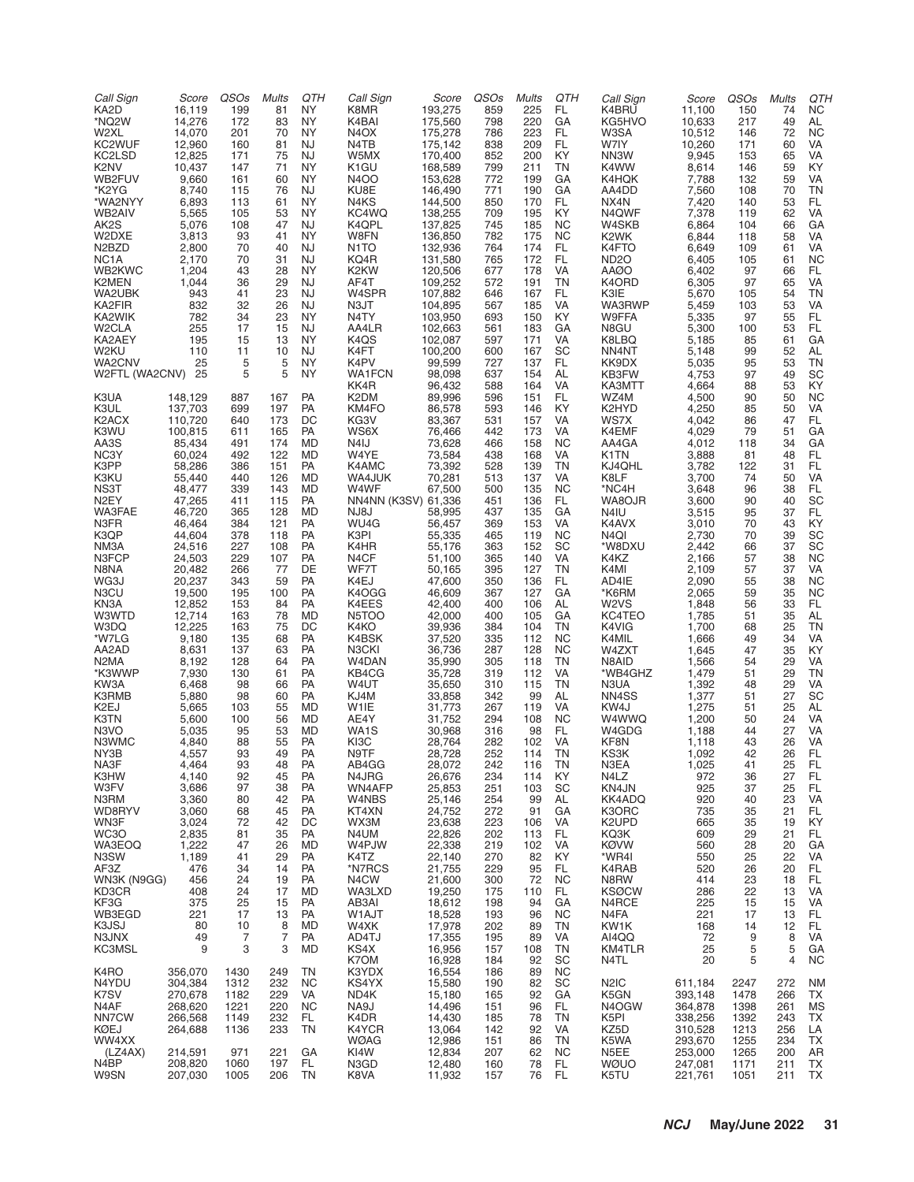| Call Sign<br>KA2D<br>*NQ2W<br>W2XL<br>KC2WUF<br>KC2LSD<br>K <sub>2</sub> NV<br>WB2FUV<br>*K2YG<br>*WA2NYY<br>WB2AIV<br>AK <sub>2</sub> S<br>W2DXE<br>N <sub>2</sub> B <sub>ZD</sub><br>NC <sub>1</sub> A<br>WB2KWC<br>K2MEN<br>WA2UBK<br>KA2FIR<br>KA2WIK<br>W <sub>2</sub> CLA<br>KA2AEY<br>W2KU                                                                                  | Score<br>16,119<br>14,276<br>14,070<br>12,960<br>12,825<br>10,437<br>9,660<br>8,740<br>6,893<br>5,565<br>5,076<br>3,813<br>2,800<br>2,170<br>1,204<br>1,044<br>943<br>832<br>782<br>255<br>195<br>110                                                                                                                                                                                         | QSOs<br>199<br>172<br>201<br>160<br>171<br>147<br>161<br>115<br>113<br>105<br>108<br>93<br>70<br>70<br>43<br>36<br>41<br>32<br>34<br>17<br>15<br>11                                                                                                                     | <b>Mults</b><br>81<br>83<br>70<br>81<br>75<br>71<br>60<br>76<br>61<br>53<br>47<br>41<br>40<br>31<br>28<br>29<br>23<br>26<br>23<br>15<br>13<br>10                                                                                                             | QTH<br><b>NY</b><br><b>NY</b><br><b>NY</b><br>NJ<br>NJ<br><b>NY</b><br><b>NY</b><br>NJ<br><b>NY</b><br><b>NY</b><br>NJ<br><b>NY</b><br>NJ<br>NJ<br><b>NY</b><br>NJ<br>NJ<br>NJ<br><b>NY</b><br>NJ<br><b>NY</b><br>NJ                                       | Call Sign<br>K8MR<br>K4BAI<br>N <sub>4</sub> OX<br>N4TB<br>W5MX<br>K <sub>1</sub> GU<br><b>N4OO</b><br>KU8E<br>N4KS<br>KC4WQ<br>K4QPL<br>W8FN<br>N <sub>1</sub> TO<br>KQ4R<br>K2KW<br>AF4T<br>W4SPR<br>N3JT<br>N4TY<br>AA4LR<br>K4QS<br>K4FT                                                                                                                               | Score<br>193,275<br>175,560<br>175,278<br>175,142<br>170,400<br>168,589<br>153,628<br>146,490<br>144,500<br>138,255<br>137,825<br>136,850<br>132,936<br>131,580<br>120,506<br>109,252<br>107,882<br>104,895<br>103,950<br>102,663<br>102,087<br>100,200                                                                                                                                            | QSOs<br>859<br>798<br>786<br>838<br>852<br>799<br>772<br>771<br>850<br>709<br>745<br>782<br>764<br>765<br>677<br>572<br>646<br>567<br>693<br>561<br>597<br>600                                                                                                                       | <b>Mults</b><br>225<br>220<br>223<br>209<br>200<br>211<br>199<br>190<br>170<br>195<br>185<br>175<br>174<br>172<br>178<br>191<br>167<br>185<br>150<br>183<br>171<br>167                                                                                                           | QTH<br>FL.<br>GA<br>FL.<br>FL.<br>KY<br>TN<br>GA<br>GA<br>FL.<br>KY<br><b>NC</b><br><b>NC</b><br>FL.<br>FL.<br>VA<br><b>TN</b><br>FL.<br>VA<br>KY<br>GA<br>VA<br>SC                                                                                                                                | Call Sign<br>K4BRU<br>KG5HVO<br>W3SA<br>W7IY<br>NN3W<br>K4WW<br>K4HQK<br>AA4DD<br>NX4N<br>N4QWF<br>W4SKB<br>K <sub>2</sub> WK<br>K4FTO<br>ND <sub>2</sub> O<br>AAØO<br>K4ORD<br>K3IE<br><b>WA3RWP</b><br>W9FFA<br>N8GU<br>K8LBQ<br>NN4NT                                                                                                                          | Score<br>11,100<br>10,633<br>10,512<br>10,260<br>9,945<br>8,614<br>7,788<br>7,560<br>7,420<br>7,378<br>6,864<br>6,844<br>6,649<br>6,405<br>6,402<br>6,305<br>5,670<br>5,459<br>5,335<br>5,300<br>5,185<br>5,148                                                                                                                                        | QSOs<br>150<br>217<br>146<br>171<br>153<br>146<br>132<br>108<br>140<br>119<br>104<br>118<br>109<br>105<br>97<br>97<br>105<br>103<br>97<br>100<br>85<br>99                                                                                      | <b>Mults</b><br>74<br>49<br>72<br>60<br>65<br>59<br>59<br>70<br>53<br>62<br>66<br>58<br>61<br>61<br>66<br>65<br>54<br>53<br>55<br>53<br>61<br>52                                                                                             | QTH<br>NC.<br>AL<br><b>NC</b><br>VA<br>VA<br>KY<br>VA<br>TN<br>FL.<br>VA<br>GA<br>VA<br>VA<br><b>NC</b><br>FL.<br>VA<br>TN<br>VA<br>FL.<br>FL.<br>GA<br>AL                                                                                                                                           |
|------------------------------------------------------------------------------------------------------------------------------------------------------------------------------------------------------------------------------------------------------------------------------------------------------------------------------------------------------------------------------------|-----------------------------------------------------------------------------------------------------------------------------------------------------------------------------------------------------------------------------------------------------------------------------------------------------------------------------------------------------------------------------------------------|-------------------------------------------------------------------------------------------------------------------------------------------------------------------------------------------------------------------------------------------------------------------------|--------------------------------------------------------------------------------------------------------------------------------------------------------------------------------------------------------------------------------------------------------------|------------------------------------------------------------------------------------------------------------------------------------------------------------------------------------------------------------------------------------------------------------|----------------------------------------------------------------------------------------------------------------------------------------------------------------------------------------------------------------------------------------------------------------------------------------------------------------------------------------------------------------------------|----------------------------------------------------------------------------------------------------------------------------------------------------------------------------------------------------------------------------------------------------------------------------------------------------------------------------------------------------------------------------------------------------|--------------------------------------------------------------------------------------------------------------------------------------------------------------------------------------------------------------------------------------------------------------------------------------|----------------------------------------------------------------------------------------------------------------------------------------------------------------------------------------------------------------------------------------------------------------------------------|----------------------------------------------------------------------------------------------------------------------------------------------------------------------------------------------------------------------------------------------------------------------------------------------------|-------------------------------------------------------------------------------------------------------------------------------------------------------------------------------------------------------------------------------------------------------------------------------------------------------------------------------------------------------------------|--------------------------------------------------------------------------------------------------------------------------------------------------------------------------------------------------------------------------------------------------------------------------------------------------------------------------------------------------------|------------------------------------------------------------------------------------------------------------------------------------------------------------------------------------------------------------------------------------------------|----------------------------------------------------------------------------------------------------------------------------------------------------------------------------------------------------------------------------------------------|------------------------------------------------------------------------------------------------------------------------------------------------------------------------------------------------------------------------------------------------------------------------------------------------------|
| WA2CNV<br>W2FTL (WA2CNV) 25                                                                                                                                                                                                                                                                                                                                                        | 25                                                                                                                                                                                                                                                                                                                                                                                            | 5<br>5                                                                                                                                                                                                                                                                  | 5<br>5                                                                                                                                                                                                                                                       | <b>NY</b><br><b>NY</b>                                                                                                                                                                                                                                     | K4PV<br>WA1FCN<br>KK4R                                                                                                                                                                                                                                                                                                                                                     | 99,599<br>98,098<br>96,432                                                                                                                                                                                                                                                                                                                                                                         | 727<br>637<br>588                                                                                                                                                                                                                                                                    | 137<br>154<br>164                                                                                                                                                                                                                                                                | FL.<br>AL<br>VA                                                                                                                                                                                                                                                                                    | KK9DX<br>KB3FW<br>KA3MTT                                                                                                                                                                                                                                                                                                                                          | 5,035<br>4,753<br>4,664                                                                                                                                                                                                                                                                                                                                | 95<br>97<br>88                                                                                                                                                                                                                                 | 53<br>49<br>53                                                                                                                                                                                                                               | <b>TN</b><br>SC<br>KY                                                                                                                                                                                                                                                                                |
| K3UA<br>K3UL<br>K2ACX<br>K3WU<br>AA3S<br>NC3Y<br>K3PP<br>K3KU<br>NS3T<br>N <sub>2</sub> EY<br>WA3FAE<br>N3FR<br>K3QP<br>NM3A<br>N3FCP<br>N8NA<br>WG3J<br>N3CU<br>KN <sub>3</sub> A<br>W3WTD<br>W3DQ<br>*W7LG<br>AA2AD<br>N2MA<br>*K3WWP<br>KW3A<br>K3RMB<br>K <sub>2</sub> EJ<br>K3TN<br>N3VO<br>N3WMC<br>NY3B<br>NA3F<br>K3HW<br>W3FV<br>N3RM<br>WD8RYV<br>WN3F<br>WC3O<br>WA3EOQ | 148,129<br>137,703<br>110,720<br>100,815<br>85,434<br>60,024<br>58,286<br>55,440<br>48,477<br>47,265<br>46,720<br>46,464<br>44,604<br>24,516<br>24,503<br>20,482<br>20,237<br>19,500<br>12,852<br>12,714<br>12,225<br>9,180<br>8,631<br>8,192<br>7,930<br>6,468<br>5,880<br>5,665<br>5,600<br>5,035<br>4,840<br>4,557<br>4,464<br>4,140<br>3,686<br>3,360<br>3,060<br>3,024<br>2,835<br>1,222 | 887<br>699<br>640<br>611<br>491<br>492<br>386<br>440<br>339<br>411<br>365<br>384<br>378<br>227<br>229<br>266<br>343<br>195<br>153<br>163<br>163<br>135<br>137<br>128<br>130<br>98<br>98<br>103<br>100<br>95<br>88<br>93<br>93<br>92<br>97<br>80<br>68<br>72<br>81<br>47 | 167<br>197<br>173<br>165<br>174<br>122<br>151<br>126<br>143<br>115<br>128<br>121<br>118<br>108<br>107<br>77<br>59<br>100<br>84<br>78<br>75<br>68<br>63<br>64<br>61<br>66<br>60<br>55<br>56<br>53<br>55<br>49<br>48<br>45<br>38<br>42<br>45<br>42<br>35<br>26 | PA<br>PA<br>DC<br>PA<br>MD<br>MD<br>PA<br>MD<br>MD<br>PA<br>MD<br>PA<br>PA<br>PA<br>PA<br>DE<br>PA<br>PA<br>PA<br><b>MD</b><br>DC<br>PA<br>PA<br>PA<br>PA<br>PA<br>PA<br>MD<br>MD<br>MD<br>PA<br>PA<br><b>PA</b><br>PA<br>PA<br>PA<br>PA<br>DC<br>PA<br>MD | K2DM<br>KM4FO<br>KG3V<br>WS6X<br>N4IJ<br>W4YE<br>K4AMC<br>WA4JUK<br>W4WF<br>NN4NN (K3SV) 61,336<br>NJ8J<br>WU4G<br>K3PI<br>K4HR<br>N4CF<br>WF7T<br>K4EJ<br>K4OGG<br>K4EES<br>N5TOO<br>K4KO<br>K4BSK<br>N3CKI<br>W4DAN<br>KB4CG<br>W4UT<br>KJ4M<br>W <sub>1</sub> IE<br>AE4Y<br>WA1S<br>KI3C<br>N9TF<br>AB4GG<br>N4JRG<br>WN4AFP<br>W4NBS<br>KT4XN<br>WX3M<br>N4UM<br>W4PJW | 89,996<br>86,578<br>83,367<br>76,466<br>73,628<br>73,584<br>73,392<br>70,281<br>67,500<br>58,995<br>56,457<br>55,335<br>55,176<br>51,100<br>50,165<br>47,600<br>46,609<br>42,400<br>42,000<br>39,936<br>37,520<br>36,736<br>35,990<br>35,728<br>35,650<br>33,858<br>31,773<br>31,752<br>30,968<br>28,764<br>28,728<br>28,072<br>26,676<br>25,853<br>25,146<br>24,752<br>23,638<br>22,826<br>22,338 | 596<br>593<br>531<br>442<br>466<br>438<br>528<br>513<br>500<br>451<br>437<br>369<br>465<br>363<br>365<br>395<br>350<br>367<br>400<br>400<br>384<br>335<br>287<br>305<br>319<br>310<br>342<br>267<br>294<br>316<br>282<br>252<br>242<br>234<br>251<br>254<br>272<br>223<br>202<br>219 | 151<br>146<br>157<br>173<br>158<br>168<br>139<br>137<br>135<br>136<br>135<br>153<br>119<br>152<br>140<br>127<br>136<br>127<br>106<br>105<br>104<br>112<br>128<br>118<br>112<br>115<br>99<br>119<br>108<br>98<br>102<br>114<br>116<br>114<br>103<br>99<br>91<br>106<br>113<br>102 | FL.<br>KY.<br>VA<br>VA<br><b>NC</b><br>VA<br>TN<br>VA<br><b>NC</b><br>FL.<br>GA<br>VA<br><b>NC</b><br>SC<br>VA<br>TN<br>FL.<br>GA<br>AL<br>GA<br>TN<br><b>NC</b><br><b>NC</b><br>TN<br>VA<br><b>TN</b><br>AL<br>VA<br><b>NC</b><br>FL.<br>VA<br>TN<br>1N<br>KY<br>SC<br>AL<br>GA<br>VA<br>FL<br>VA | WZ4M<br>K2HYD<br>WS7X<br>K4EMF<br>AA4GA<br>K1TN<br>KJ4QHL<br>K8LF<br>*NC4H<br>WA8OJR<br>N4IU<br>K4AVX<br>N4QI<br>*W8DXU<br>K4KZ<br>K4MI<br>AD4IE<br>*K6RM<br>W2VS<br>KC4TEO<br>K4VIG<br>K4MIL<br>W4ZXT<br>N8AID<br>*WB4GHZ<br>N3UA<br>NN4SS<br>KW4J<br>W4WWQ<br>W4GDG<br>KF8N<br>KS3K<br>N3EA<br>N4LZ<br>KN4JN<br>KK4ADQ<br>K3ORC<br>K2UPD<br>KQ3K<br><b>KØVW</b> | 4,500<br>4,250<br>4,042<br>4,029<br>4,012<br>3,888<br>3,782<br>3,700<br>3,648<br>3,600<br>3,515<br>3,010<br>2,730<br>2,442<br>2,166<br>2,109<br>2,090<br>2,065<br>1,848<br>1,785<br>1,700<br>1,666<br>1,645<br>1,566<br>1,479<br>1,392<br>1,377<br>1,275<br>1,200<br>1,188<br>1,118<br>1,092<br>1,025<br>972<br>925<br>920<br>735<br>665<br>609<br>560 | 90<br>85<br>86<br>79<br>118<br>81<br>122<br>74<br>96<br>90<br>95<br>70<br>70<br>66<br>57<br>57<br>55<br>59<br>56<br>51<br>68<br>49<br>47<br>54<br>51<br>48<br>51<br>51<br>50<br>44<br>43<br>42<br>41<br>36<br>37<br>40<br>35<br>35<br>29<br>28 | 50<br>50<br>47<br>51<br>34<br>48<br>31<br>50<br>38<br>40<br>37<br>43<br>39<br>37<br>38<br>37<br>38<br>35<br>33<br>35<br>25<br>34<br>35<br>29<br>29<br>29<br>27<br>25<br>24<br>27<br>26<br>26<br>25<br>27<br>25<br>23<br>21<br>19<br>21<br>20 | <b>NC</b><br>VA<br>FL.<br>GA<br>GA<br>FL.<br>FL.<br>VA<br>FL.<br>SC<br>FL.<br>KY<br>SC<br>SC<br><b>NC</b><br>VA<br><b>NC</b><br><b>NC</b><br>FL.<br>AL<br><b>TN</b><br>VA<br>KY<br>VA<br><b>TN</b><br>VA<br>SC<br>AL<br>VA<br>VA<br>VA<br>FL.<br>FL<br><b>FL</b><br>FL<br>VA<br>FL<br>KY<br>FL<br>GA |
| N3SW<br>AF3Z<br>WN3K (N9GG)<br>KD3CR                                                                                                                                                                                                                                                                                                                                               | 1,189<br>476<br>456<br>408                                                                                                                                                                                                                                                                                                                                                                    | 41<br>34<br>24<br>24                                                                                                                                                                                                                                                    | 29<br>14<br>19<br>17                                                                                                                                                                                                                                         | PA<br>PA<br>PA<br>MD                                                                                                                                                                                                                                       | K4TZ<br>*N7RCS<br>N4CW<br>WA3LXD                                                                                                                                                                                                                                                                                                                                           | 22,140<br>21,755<br>21,600<br>19,250                                                                                                                                                                                                                                                                                                                                                               | 270<br>229<br>300<br>175                                                                                                                                                                                                                                                             | 82<br>95<br>72<br>110                                                                                                                                                                                                                                                            | KY<br>FL.<br><b>NC</b><br>FL.                                                                                                                                                                                                                                                                      | *WR4I<br>K4RAB<br>N8RW<br><b>KSØCW</b>                                                                                                                                                                                                                                                                                                                            | 550<br>520<br>414<br>286                                                                                                                                                                                                                                                                                                                               | 25<br>26<br>23<br>22                                                                                                                                                                                                                           | 22<br>20<br>18<br>13                                                                                                                                                                                                                         | VA<br>FL<br>FL<br>VA                                                                                                                                                                                                                                                                                 |
| KF3G<br>WB3EGD<br>K3JSJ<br>N3JNX<br><b>KC3MSL</b>                                                                                                                                                                                                                                                                                                                                  | 375<br>221<br>80<br>49<br>9                                                                                                                                                                                                                                                                                                                                                                   | 25<br>17<br>10<br>7<br>3                                                                                                                                                                                                                                                | 15<br>13<br>8<br>7<br>3                                                                                                                                                                                                                                      | PA<br>PA<br>MD<br>PA<br>MD                                                                                                                                                                                                                                 | AB3AI<br>W1AJT<br>W4XK<br>AD4TJ<br>KS4X<br>K7OM                                                                                                                                                                                                                                                                                                                            | 18,612<br>18,528<br>17,978<br>17,355<br>16,956<br>16,928                                                                                                                                                                                                                                                                                                                                           | 198<br>193<br>202<br>195<br>157<br>184                                                                                                                                                                                                                                               | 94<br>96<br>89<br>89<br>108<br>92                                                                                                                                                                                                                                                | GA<br><b>NC</b><br>TN<br>VA<br>TN<br>SC                                                                                                                                                                                                                                                            | N4RCE<br>N4FA<br>KW1K<br>AI4QQ<br>KM4TLR<br>N4TL                                                                                                                                                                                                                                                                                                                  | 225<br>221<br>168<br>72<br>25<br>20                                                                                                                                                                                                                                                                                                                    | 15<br>17<br>14<br>9<br>5<br>5                                                                                                                                                                                                                  | 15<br>13<br>12<br>8<br>5<br>$\overline{4}$                                                                                                                                                                                                   | VA<br>FL<br>FL<br>VA<br>GА<br><b>NC</b>                                                                                                                                                                                                                                                              |
| K4RO<br>N4YDU<br>K7SV<br>N4AF<br>NN7CW<br>KØEJ<br>WW4XX                                                                                                                                                                                                                                                                                                                            | 356,070<br>304,384<br>270,678<br>268,620<br>266,568<br>264,688                                                                                                                                                                                                                                                                                                                                | 1430<br>1312<br>1182<br>1221<br>1149<br>1136                                                                                                                                                                                                                            | 249<br>232<br>229<br>220<br>232<br>233                                                                                                                                                                                                                       | ΤN<br><b>NC</b><br>VA<br><b>NC</b><br>FL.<br>TN                                                                                                                                                                                                            | K3YDX<br>KS4YX<br>ND4K<br>NA9J<br>K4DR<br>K4YCR<br>WØAG                                                                                                                                                                                                                                                                                                                    | 16,554<br>15,580<br>15,180<br>14,496<br>14,430<br>13,064<br>12,986                                                                                                                                                                                                                                                                                                                                 | 186<br>190<br>165<br>151<br>185<br>142<br>151                                                                                                                                                                                                                                        | 89<br>82<br>92<br>96<br>78<br>92<br>86                                                                                                                                                                                                                                           | <b>NC</b><br>SC<br>GA<br>FL.<br>TN<br>VA<br>TN                                                                                                                                                                                                                                                     | N <sub>2</sub> IC<br>K5GN<br>N4OGW<br>K5PI<br>KZ5D<br>K5WA                                                                                                                                                                                                                                                                                                        | 611,184<br>393,148<br>364,878<br>338,256<br>310,528<br>293,670                                                                                                                                                                                                                                                                                         | 2247<br>1478<br>1398<br>1392<br>1213<br>1255                                                                                                                                                                                                   | 272<br>266<br>261<br>243<br>256<br>234                                                                                                                                                                                                       | <b>NM</b><br>ТX<br>ΜS<br>ТX<br>LA<br>ТX                                                                                                                                                                                                                                                              |
| (LZ4AX)<br>N <sub>4</sub> BP<br>W9SN                                                                                                                                                                                                                                                                                                                                               | 214,591<br>208,820<br>207,030                                                                                                                                                                                                                                                                                                                                                                 | 971<br>1060<br>1005                                                                                                                                                                                                                                                     | 221<br>197<br>206                                                                                                                                                                                                                                            | GA<br>FL.<br>TN                                                                                                                                                                                                                                            | KI4W<br>N3GD<br>K8VA                                                                                                                                                                                                                                                                                                                                                       | 12,834<br>12,480<br>11,932                                                                                                                                                                                                                                                                                                                                                                         | 207<br>160<br>157                                                                                                                                                                                                                                                                    | 62<br>78<br>76                                                                                                                                                                                                                                                                   | <b>NC</b><br>FL.<br>FL.                                                                                                                                                                                                                                                                            | N5EE<br><b>WØUO</b><br>K5TU                                                                                                                                                                                                                                                                                                                                       | 253,000<br>247,081<br>221,761                                                                                                                                                                                                                                                                                                                          | 1265<br>1171<br>1051                                                                                                                                                                                                                           | 200<br>211<br>211                                                                                                                                                                                                                            | AR<br>ТX<br>TX                                                                                                                                                                                                                                                                                       |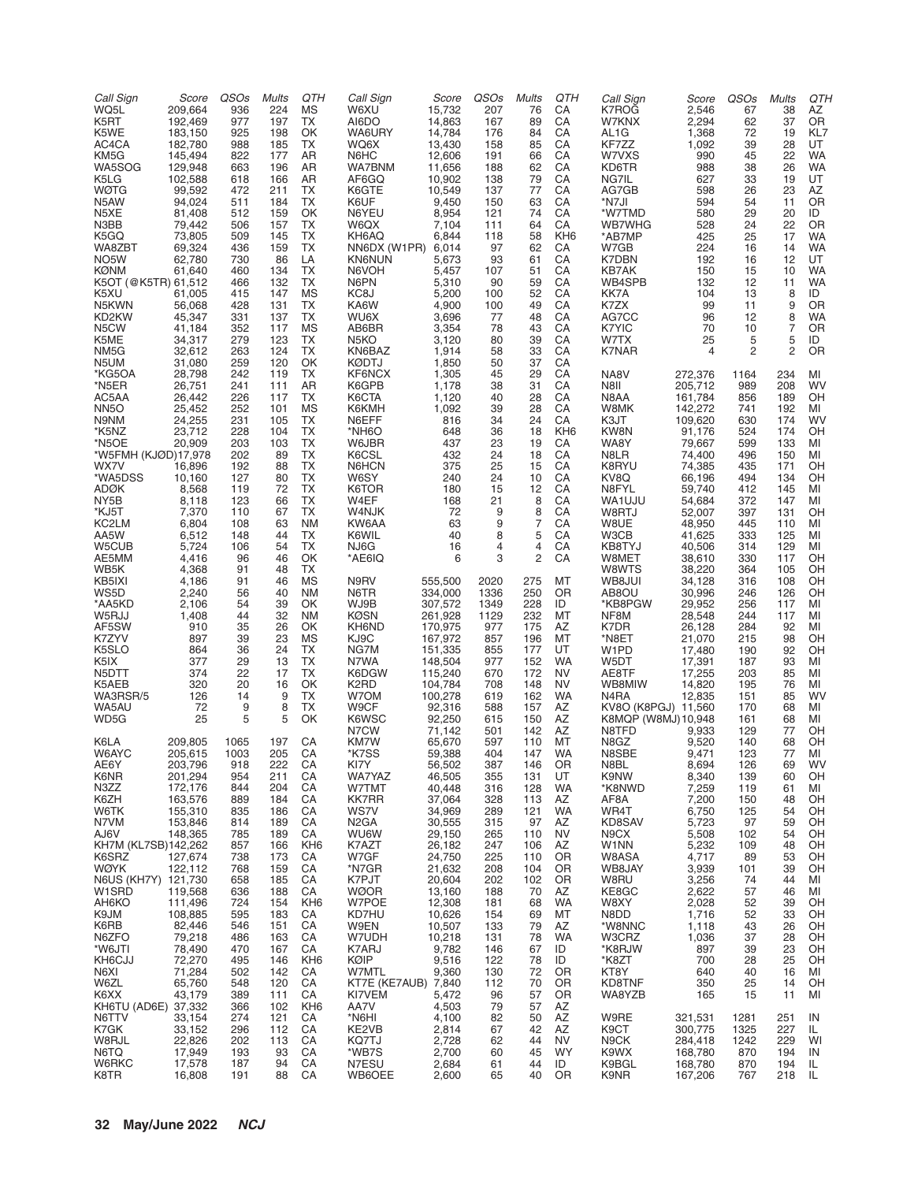| Call Sign<br>WQ5L<br>K5RT        | Score<br>209,664<br>192,469 | QSO <sub>s</sub><br>936<br>977 | <b>Mults</b><br>224<br>197 | QTH<br>ΜS<br>TX       | Call Sign<br>W6XU<br>AI6DO             | Score<br>15,732<br>14,863 | QSOs<br>207<br>167  | <b>Mults</b><br>76<br>89 | QTH<br>CA<br>CA        | Call Sign<br>K7ROG<br>W7KNX               | Score<br>2,546<br>2,294 | QSOs<br>67<br>62 | <b>Mults</b><br>38<br>37 | QTH<br>AZ<br>OR |
|----------------------------------|-----------------------------|--------------------------------|----------------------------|-----------------------|----------------------------------------|---------------------------|---------------------|--------------------------|------------------------|-------------------------------------------|-------------------------|------------------|--------------------------|-----------------|
| K5WE                             | 183,150                     | 925                            | 198                        | OK                    | WA6URY                                 | 14,784                    | 176                 | 84                       | CA                     | AL <sub>1</sub> G                         | 1,368                   | 72               | 19                       | KL7             |
| AC4CA<br>KM5G                    | 182,780<br>145,494          | 988<br>822                     | 185<br>177                 | TX<br>AR              | WQ6X<br>N6HC                           | 13,430<br>12,606          | 158<br>191          | 85<br>66                 | CA<br>CA               | KF7ZZ<br>W7VXS                            | 1,092<br>990            | 39<br>45         | 28<br>22                 | UT<br><b>WA</b> |
| WA5SOG                           | 129,948                     | 663                            | 196                        | AR                    | WA7BNM                                 | 11,656                    | 188                 | 62                       | CA                     | KD6TR                                     | 988                     | 38               | 26                       | <b>WA</b>       |
| K5LG<br><b>WØTG</b>              | 102,588<br>99,592           | 618<br>472                     | 166<br>211                 | AR<br>TX              | AF6GQ<br>K6GTE                         | 10,902<br>10,549          | 138<br>137          | 79<br>77                 | CA<br>CA               | NG7IL<br>AG7GB                            | 627<br>598              | 33<br>26         | 19<br>23                 | UT<br>AZ        |
| N5AW                             | 94,024                      | 511                            | 184                        | TX                    | K6UF                                   | 9,450                     | 150                 | 63                       | CA                     | *N7JI                                     | 594                     | 54               | 11                       | 0R              |
| N5XE                             | 81,408                      | 512                            | 159                        | OK                    | N6YEU                                  | 8,954                     | 121                 | 74                       | CA                     | *W7TMD                                    | 580                     | 29               | 20                       | ID              |
| N3BB<br>K5GQ                     | 79,442<br>73,805            | 506<br>509                     | 157<br>145                 | <b>TX</b><br>TX       | W6QX<br>KH6AQ                          | 7,104<br>6,844            | 111<br>118          | 64<br>58                 | CA<br>KH <sub>6</sub>  | <b>WB7WHG</b><br>*AB7MP                   | 528<br>425              | 24<br>25         | 22<br>17                 | OR<br><b>WA</b> |
| WA8ZBT                           | 69,324                      | 436                            | 159                        | TX                    | NN6DX (W1PR) 6,014                     |                           | 97                  | 62                       | CA                     | W7GB                                      | 224                     | 16               | 14                       | <b>WA</b>       |
| NO <sub>5</sub> W<br><b>KØNM</b> | 62,780                      | 730                            | 86                         | LA<br><b>TX</b>       | <b>KN6NUN</b>                          | 5,673                     | 93                  | 61                       | CA                     | K7DBN                                     | 192                     | 16               | 12                       | UT<br><b>WA</b> |
| K5OT (@K5TR) 61,512              | 61,640                      | 460<br>466                     | 134<br>132                 | TX                    | N6VOH<br>N6PN                          | 5,457<br>5,310            | 107<br>90           | 51<br>59                 | CA<br>CA               | <b>KB7AK</b><br>WB4SPB                    | 150<br>132              | 15<br>12         | 10<br>11                 | <b>WA</b>       |
| K5XU                             | 61,005                      | 415                            | 147                        | <b>MS</b>             | KC8J                                   | 5,200                     | 100                 | 52                       | CA                     | KK7A                                      | 104                     | 13               | 8                        | ID              |
| N5KWN<br>KD2KW                   | 56,068<br>45,347            | 428<br>331                     | 131<br>137                 | TX<br>TX              | KA6W<br>WU6X                           | 4,900<br>3,696            | 100<br>77           | 49<br>48                 | CA<br>CA               | K7ZX<br>AG7CC                             | 99<br>96                | 11<br>12         | 9<br>8                   | 0R<br><b>WA</b> |
| N5CW                             | 41,184                      | 352                            | 117                        | MS                    | AB6BR                                  | 3,354                     | 78                  | 43                       | CA                     | K7YIC                                     | 70                      | 10               | $\overline{7}$           | OR              |
| K5ME                             | 34,317                      | 279                            | 123                        | TX                    | N5KO                                   | 3,120                     | 80                  | 39                       | CA                     | W7TX                                      | 25                      | 5                | 5                        | ID              |
| NM5G<br>N5UM                     | 32,612<br>31,080            | 263<br>259                     | 124<br>120                 | <b>TX</b><br>OK       | KN6BAZ<br><b>KØDTJ</b>                 | 1,914<br>1,850            | 58<br>50            | 33<br>37                 | CA<br>CA               | K7NAR                                     | $\overline{4}$          | 2                | $\overline{2}$           | OR              |
| *KG5OA                           | 28,798                      | 242                            | 119                        | TX                    | KF6NCX                                 | 1,305                     | 45                  | 29                       | CA                     | NA8V                                      | 272,376                 | 1164             | 234                      | MI              |
| *N5ER<br>AC5AA                   | 26,751<br>26,442            | 241<br>226                     | 111<br>117                 | AR<br><b>TX</b>       | K6GPB<br>K6CTA                         | 1,178<br>1,120            | 38<br>40            | 31<br>28                 | CA<br>CA               | N8II<br>N8AA                              | 205,712<br>161,784      | 989<br>856       | 208<br>189               | WV<br>OH        |
| <b>NN5O</b>                      | 25,452                      | 252                            | 101                        | MS                    | K6KMH                                  | 1,092                     | 39                  | 28                       | CA                     | W8MK                                      | 142,272                 | 741              | 192                      | MI              |
| N9NM                             | 24,255                      | 231                            | 105                        | TX                    | N6EFF                                  | 816                       | 34                  | 24                       | CA                     | K3JT                                      | 109,620                 | 630              | 174                      | WV              |
| *K5NZ<br>*N5OE                   | 23,712<br>20,909            | 228<br>203                     | 104<br>103                 | TX<br><b>TX</b>       | *NH6O<br>W6JBR                         | 648<br>437                | 36<br>23            | 18<br>19                 | KH <sub>6</sub><br>CA  | KW8N<br>WA8Y                              | 91,176<br>79,667        | 524<br>599       | 174<br>133               | OH<br>MI        |
| *W5FMH (KJØD)17,978              |                             | 202                            | 89                         | <b>TX</b>             | K6CSL                                  | 432                       | 24                  | 18                       | CA                     | N8LR                                      | 74,400                  | 496              | 150                      | MI              |
| WX7V<br>*WA5DSS                  | 16,896<br>10,160            | 192<br>127                     | 88<br>80                   | TX<br><b>TX</b>       | N6HCN<br>W6SY                          | 375<br>240                | 25<br>24            | 15<br>10                 | CA<br>CA               | K8RYU<br>KV8Q                             | 74,385<br>66,196        | 435<br>494       | 171<br>134               | OH<br>OH        |
| <b>ADØK</b>                      | 8,568                       | 119                            | 72                         | TX                    | K6TOR                                  | 180                       | 15                  | 12                       | CA                     | N8FYL                                     | 59,740                  | 412              | 145                      | MI              |
| NY5B                             | 8,118                       | 123                            | 66                         | TX                    | W4EF                                   | 168                       | 21                  | 8                        | CA                     | WA1UJU                                    | 54,684                  | 372              | 147                      | MI              |
| *KJ5T<br>KC2LM                   | 7,370<br>6,804              | 110<br>108                     | 67<br>63                   | TX<br><b>NM</b>       | W4NJK<br>KW6AA                         | 72<br>63                  | 9<br>9              | 8<br>$\overline{7}$      | CA<br>CA               | W8RTJ<br>W8UE                             | 52,007<br>48,950        | 397<br>445       | 131<br>110               | OH<br>MI        |
| AA5W                             | 6,512                       | 148                            | 44                         | TX                    | K6WIL                                  | 40                        | 8                   | 5                        | CA                     | W3CB                                      | 41,625                  | 333              | 125                      | MI              |
| W5CUB<br>AE5MM                   | 5,724<br>4,416              | 106<br>96                      | 54<br>46                   | TX<br>OK              | NJ6G<br>*AE6IQ                         | 16<br>6                   | $\overline{4}$<br>3 | 4<br>2                   | CA<br>CA               | KB8TYJ<br>W8MET                           | 40,506<br>38,610        | 314<br>330       | 129<br>117               | MI<br>OH        |
| WB5K                             | 4,368                       | 91                             | 48                         | TX                    |                                        |                           |                     |                          |                        | W8WTS                                     | 38,220                  | 364              | 105                      | OH              |
| KB5IXI                           | 4,186                       | 91                             | 46                         | <b>MS</b>             | N9RV                                   | 555,500                   | 2020                | 275                      | МT                     | WB8JUI                                    | 34,128                  | 316              | 108                      | OH              |
| WS5D<br>*AA5KD                   | 2,240<br>2,106              | 56<br>54                       | 40<br>39                   | <b>NM</b><br>OK       | N6TR<br>WJ9B                           | 334,000<br>307,572        | 1336<br>1349        | 250<br>228               | OR<br>ID               | AB8OU<br>*KB8PGW                          | 30,996<br>29,952        | 246<br>256       | 126<br>117               | OH<br>MI        |
| W5RJJ                            | 1,408                       | 44                             | 32                         | <b>NM</b>             | <b>KØSN</b>                            | 261,928                   | 1129                | 232                      | МT                     | NF8M                                      | 28,548                  | 244              | 117                      | MI              |
| AF5SW<br>K7ZYV                   | 910<br>897                  | 35<br>39                       | 26<br>23                   | OK<br><b>MS</b>       | KH6ND<br>KJ9C                          | 170,975<br>167,972        | 977                 | 175<br>196               | AZ<br>MT               | K7DR<br>*N8ET                             | 26,128<br>21,070        | 284<br>215       | 92<br>98                 | MI<br>OH        |
| K5SLO                            | 864                         | 36                             | 24                         | TX                    | NG7M                                   | 151,335                   | 857<br>855          | 177                      | UT                     | W1PD                                      | 17,480                  | 190              | 92                       | OH              |
| K5IX                             | 377                         | 29                             | 13                         | TX                    | N7WA                                   | 148,504                   | 977                 | 152                      | WA                     | W5DT                                      | 17,391                  | 187              | 93                       | MI              |
| N5DTT<br>K5AEB                   | 374<br>320                  | 22<br>20                       | 17<br>16                   | <b>TX</b><br>OK       | K6DGW<br>K <sub>2</sub> R <sub>D</sub> | 115,240<br>104,784        | 670<br>708          | 172<br>148               | <b>NV</b><br><b>NV</b> | AE8TF<br>WB8MIW                           | 17,255<br>14,820        | 203<br>195       | 85<br>76                 | MI<br>MI        |
| WA3RSR/5                         | 126                         | 14                             | 9                          | TX                    | W7OM                                   | 100,278                   | 619                 | 162                      | WA                     | N4RA                                      | 12,835                  | 151              | 85                       | WV              |
| WA5AU<br>WD5G                    | 72<br>25                    | 9<br>5                         | 8<br>5                     | TX<br>OK              | W9CF<br>K6WSC                          | 92,316<br>92,250          | 588<br>615          | 157<br>150               | AZ<br>AZ               | KV8O (K8PGJ) 11,560<br>K8MQP (W8MJ)10,948 |                         | 170<br>161       | 68<br>68                 | MI<br>MI        |
|                                  |                             |                                |                            |                       | N7CW                                   | 71,142                    | 501                 | 142                      | AZ                     | N8TFD                                     | 9,933                   | 129              | 77                       | OH              |
| K6LA                             | 209,805                     | 1065                           | 197                        | CA                    | KM7W                                   | 65,670                    | 597                 | 110                      | MT                     | N8GZ                                      | 9,520                   | 140              | 68                       | OH              |
| W6AYC<br>AE6Y                    | 205,615<br>203,796          | 1003<br>918                    | 205<br>222                 | CA<br>CA              | *K7SS<br>KI7Y                          | 59,388<br>56,502          | 404<br>387          | 147<br>146               | <b>WA</b><br>0R        | N8SBE<br>N8BL                             | 9,471<br>8,694          | 123<br>126       | 77<br>69                 | MI<br>wv        |
| K6NR                             | 201,294                     | 954                            | 211                        | CA                    | WA7YAZ                                 | 46,505                    | 355                 | 131                      | UT                     | K9NW                                      | 8,340                   | 139              | 60                       | OH              |
| N3ZZ<br>K6ZH                     | 172,176<br>163,576          | 844<br>889                     | 204<br>184                 | CA<br>CA              | W7TMT<br><b>KK7RR</b>                  | 40,448<br>37,064          | 316<br>328          | 128<br>113               | WA<br>AZ               | *K8NWD<br>AF8A                            | 7,259<br>7,200          | 119<br>150       | 61<br>48                 | MI<br>OH        |
| W6TK                             | 155,310                     | 835                            | 186                        | CA                    | WS7V                                   | 34,969                    | 289                 | 121                      | <b>WA</b>              | WR4T                                      | 6,750                   | 125              | 54                       | OH              |
| N7VM                             | 153,846                     | 814                            | 189                        | CA                    | N <sub>2</sub> GA                      | 30,555                    | 315                 | 97                       | AZ                     | KD8SAV                                    | 5,723                   | 97<br>102        | 59                       | OH<br>OH        |
| AJ6V<br>KH7M (KL7SB)142,262      | 148,365                     | 785<br>857                     | 189<br>166                 | CA<br>KH <sub>6</sub> | <b>WU6W</b><br>K7AZT                   | 29,150<br>26,182          | 265<br>247          | 110<br>106               | <b>NV</b><br>AZ        | N9CX<br>W1NN                              | 5,508<br>5,232          | 109              | 54<br>48                 | OH              |
| K6SRZ                            | 127,674                     | 738                            | 173                        | CA                    | W7GF                                   | 24,750                    | 225                 | 110                      | OR                     | W8ASA                                     | 4,717                   | 89               | 53                       | OH              |
| WØYK<br>N6US (KH7Y) 121,730      | 122,112                     | 768<br>658                     | 159<br>185                 | CA<br>CA              | *N7GR<br>K7PJT                         | 21,632<br>20,604          | 208<br>202          | 104<br>102               | 0R<br>OR               | WB8JAY<br>W8RU                            | 3,939<br>3,256          | 101<br>74        | 39<br>44                 | OH<br>MI        |
| W1SRD                            | 119,568                     | 636                            | 188                        | CA                    | <b>WØOR</b>                            | 13,160                    | 188                 | 70                       | AZ                     | KE8GC                                     | 2,622                   | 57               | 46                       | MI              |
| AH6KO<br>K9JM                    | 111,496                     | 724                            | 154                        | KH <sub>6</sub>       | W7POE                                  | 12,308                    | 181                 | 68                       | <b>WA</b>              | W8XY<br>N8DD                              | 2,028                   | 52               | 39                       | OH              |
| K6RB                             | 108,885<br>82,446           | 595<br>546                     | 183<br>151                 | CA<br>CA              | KD7HU<br>W9EN                          | 10,626<br>10,507          | 154<br>133          | 69<br>79                 | МT<br>AZ               | *W8NNC                                    | 1,716<br>1,118          | 52<br>43         | 33<br>26                 | OH<br>OH        |
| N6ZFO                            | 79,218                      | 486                            | 163                        | CA                    | W7UDH                                  | 10,218                    | 131                 | 78                       | <b>WA</b>              | W3CRZ                                     | 1,036                   | 37               | 28                       | OH              |
| *W6JTI<br>KH6CJJ                 | 78,490<br>72,270            | 470<br>495                     | 167<br>146                 | CA<br>KH <sub>6</sub> | K7ARJ<br>KØIP                          | 9,782<br>9,516            | 146<br>122          | 67<br>78                 | ID<br>ID               | *K8RJW<br>*K8ZT                           | 897<br>700              | 39<br>28         | 23<br>25                 | OН<br>OH        |
| N6XI                             | 71,284                      | 502                            | 142                        | CA                    | W7MTL                                  | 9,360                     | 130                 | 72                       | OR                     | KT8Y                                      | 640                     | 40               | 16                       | MI              |
| W6ZL                             | 65,760                      | 548                            | 120                        | CA                    | KT7E (KE7AUB) 7,840                    |                           | 112                 | 70                       | 0 <sub>R</sub>         | KD8TNF                                    | 350                     | 25               | 14                       | OН              |
| K6XX<br>KH6TU (AD6E) 37,332      | 43,179                      | 389<br>366                     | 111<br>102                 | CA<br>KH <sub>6</sub> | KI7VEM<br>AA7V                         | 5,472<br>4,503            | 96<br>79            | 57<br>57                 | OR<br>AZ               | WA8YZB                                    | 165                     | 15               | 11                       | MI              |
| N6TTV                            | 33,154                      | 274                            | 121                        | CA                    | *N6HI                                  | 4,100                     | 82                  | 50                       | AZ                     | W9RE                                      | 321,531                 | 1281             | 251                      | IN              |
| K7GK<br>W8RJL                    | 33,152<br>22,826            | 296<br>202                     | 112<br>113                 | CA<br>CA              | KE2VB<br>KQ7TJ                         | 2,814<br>2,728            | 67<br>62            | 42<br>44                 | AZ<br><b>NV</b>        | K9CT<br>N9CK                              | 300,775<br>284,418      | 1325<br>1242     | 227<br>229               | IL<br>WI        |
| N6TQ                             | 17,949                      | 193                            | 93                         | CA                    | *WB7S                                  | 2,700                     | 60                  | 45                       | <b>WY</b>              | K9WX                                      | 168,780                 | 870              | 194                      | IN              |
| W6RKC<br>K8TR                    | 17,578<br>16,808            | 187<br>191                     | 94<br>88                   | CA<br>CA              | N7ESU<br>WB6OEE                        | 2,684<br>2,600            | 61<br>65            | 44<br>40                 | ID<br>OR               | K9BGL<br>K9NR                             | 168,780<br>167,206      | 870<br>767       | 194<br>218               | IL<br>IL        |
|                                  |                             |                                |                            |                       |                                        |                           |                     |                          |                        |                                           |                         |                  |                          |                 |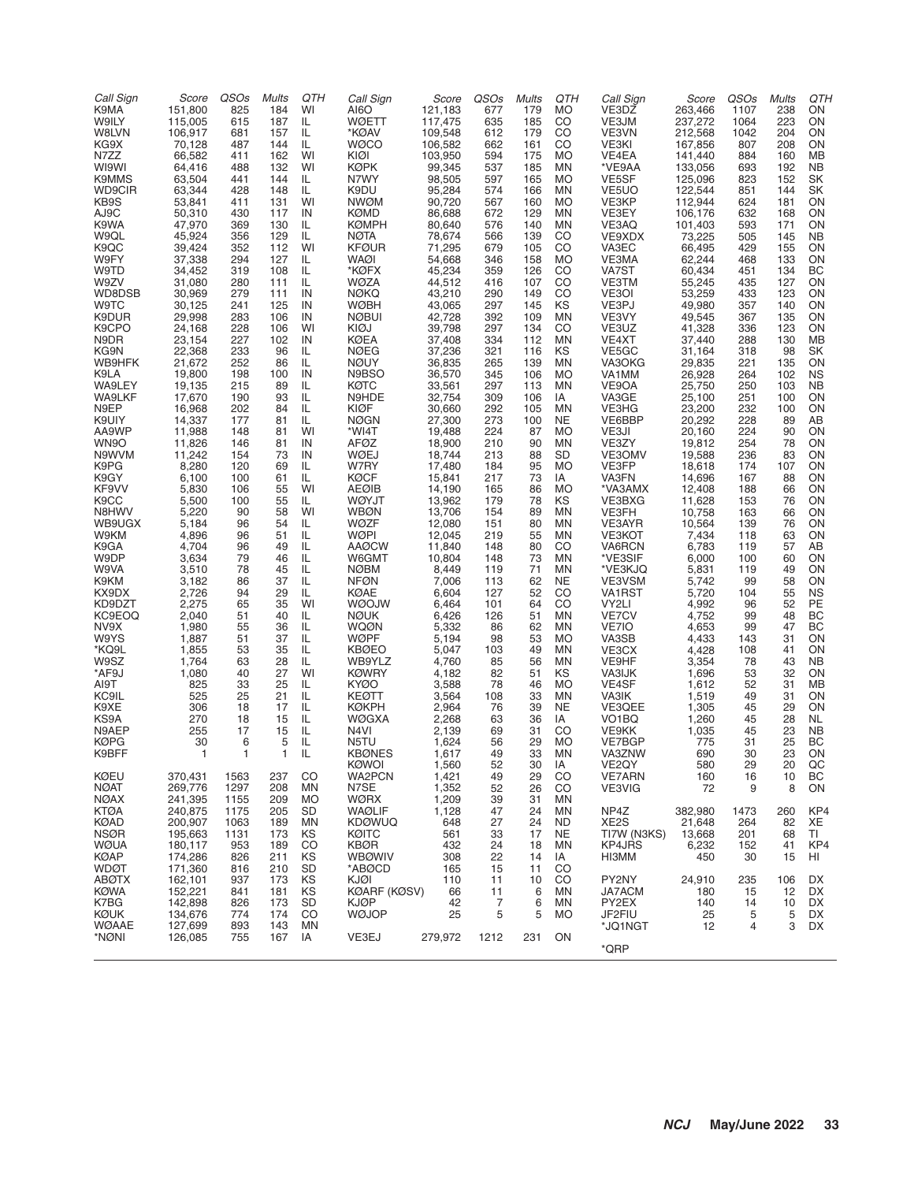| Call Sign<br>K9MA<br>W9ILY<br>W8LVN<br>KG9X<br>N7ZZ<br>WI9WI<br>K9MMS<br><b>WD9CIR</b><br>KB9S<br>AJ9C<br>K9WA<br>W9QL<br>K9QC<br>W9FY<br>W9TD<br>W9ZV<br>WD8DSB<br>W9TC<br>K9DUR<br>K9CPO<br>N9DR<br>KG9N<br>WB9HFK<br>K9LA<br>WA9LEY<br>WA9LKF<br>N9EP<br>K9UIY<br>AA9WP<br>WN9O<br>N9WVM<br>K9PG<br>K9GY<br>KF9VV<br>K9CC<br>N8HWV<br>WB9UGX<br>W9KM<br>K9GA<br>W9DP<br>W9VA<br>K9KM<br>KX9DX<br>KD9DZT<br>KC9EOQ<br>NV9X<br>W9YS<br>*KQ9L<br>W9SZ<br>*AF9J<br>AI9T<br>KC9IL<br>K9XE<br>KS9A<br>N9AEP<br><b>KØPG</b><br>K9BFF<br>KØEU<br><b>NØAT</b><br><b>NØAX</b> | Score<br>151,800<br>115,005<br>106,917<br>70,128<br>66,582<br>64,416<br>63,504<br>63,344<br>53,841<br>50,310<br>47,970<br>45,924<br>39,424<br>37,338<br>34,452<br>31,080<br>30,969<br>30,125<br>29,998<br>24,168<br>23,154<br>22,368<br>21,672<br>19,800<br>19,135<br>17,670<br>16,968<br>14.337<br>11.988<br>11,826<br>11,242<br>8,280<br>6,100<br>5,830<br>5,500<br>5,220<br>5,184<br>4,896<br>4,704<br>3,634<br>3,510<br>3,182<br>2,726<br>2,275<br>2,040<br>1,980<br>1,887<br>1,855<br>1,764<br>1,080<br>825<br>525<br>306<br>270<br>255<br>30<br>$\mathbf{1}$<br>370,431<br>269,776<br>241,395 | QSOs<br>825<br>615<br>681<br>487<br>411<br>488<br>441<br>428<br>411<br>430<br>369<br>356<br>352<br>294<br>319<br>280<br>279<br>241<br>283<br>228<br>227<br>233<br>252<br>198<br>215<br>190<br>202<br>177<br>148<br>146<br>154<br>120<br>100<br>106<br>100<br>90<br>96<br>96<br>96<br>79<br>78<br>86<br>94<br>65<br>51<br>55<br>51<br>53<br>63<br>40<br>33<br>25<br>18<br>18<br>17<br>6<br>$\mathbf{1}$<br>1563<br>1297<br>1155 | <b>Mults</b><br>184<br>187<br>157<br>144<br>162<br>132<br>144<br>148<br>131<br>117<br>130<br>129<br>112<br>127<br>108<br>111<br>111<br>125<br>106<br>106<br>102<br>96<br>86<br>100<br>89<br>93<br>84<br>81<br>81<br>81<br>73<br>69<br>61<br>55<br>55<br>58<br>54<br>51<br>49<br>46<br>45<br>37<br>29<br>35<br>40<br>36<br>37<br>35<br>28<br>27<br>25<br>21<br>17<br>15<br>15<br>5<br>$\mathbf{1}$<br>237<br>208<br>209 | QTH<br>WI<br>IL<br>IL<br>IL.<br>WI<br>WI<br>IL.<br>IL<br>WI<br>IN<br>IL.<br>IL<br>WI<br>IL<br>IL<br>IL.<br>IN<br>IN<br>IN<br>WI<br>IN<br>IL.<br>IL.<br>IN<br>IL<br>IL<br>IL.<br>IL<br>WI<br>IN<br>IN<br>IL.<br>IL<br>WI<br>IL<br>WI<br>IL<br>IL<br>IL<br>IL<br>IL<br>IL<br>IL<br>WI<br>IL<br>IL.<br>IL<br>IL<br>IL<br>WI<br>IL<br>IL<br>IL<br>IL<br>IL.<br>IL<br>IL<br>CO<br>MN<br>MO | Call Sign<br>AI6O<br><b>WØETT</b><br>*KØAV<br><b>WØCO</b><br>KIØI<br>KØPK<br>N7WY<br>K9DU<br><b>NWØM</b><br><b>KØMD</b><br><b>KØMPH</b><br><b>NØTA</b><br><b>KFØUR</b><br>WAØI<br>*KØFX<br>WØZA<br><b>NØKQ</b><br><b>WØBH</b><br><b>NØBUI</b><br>KIØJ<br>KØEA<br><b>NØEG</b><br><b>NØUY</b><br>N9BSO<br>KØTC<br>N9HDE<br>KIØF<br><b>NØGN</b><br>*WI4T<br>AFØZ<br>WØEJ<br>W7RY<br>KØCF<br><b>AEØIB</b><br><b>WØYJT</b><br><b>WBØN</b><br><b>WØZF</b><br><b>WØPI</b><br><b>AAØCW</b><br>W6GMT<br><b>NØBM</b><br><b>NFØN</b><br>KØAE<br><b>WOOJW</b><br><b>NØUK</b><br><b>WQØN</b><br>WØPF<br><b>KBØEO</b><br>WB9YLZ<br><b>KØWRY</b><br><b>KYØO</b><br><b>KEØTT</b><br><b>KØKPH</b><br><b>WØGXA</b><br>N4VI<br>N5TU<br><b>KBØNES</b><br><b>KØWOI</b><br>WA2PCN<br>N7SE<br>WØRX | Score<br>121,183<br>117,475<br>109,548<br>106,582<br>103,950<br>99,345<br>98,505<br>95,284<br>90,720<br>86,688<br>80,640<br>78,674<br>71,295<br>54,668<br>45,234<br>44,512<br>43,210<br>43,065<br>42,728<br>39,798<br>37,408<br>37,236<br>36,835<br>36,570<br>33,561<br>32,754<br>30,660<br>27,300<br>19,488<br>18,900<br>18,744<br>17,480<br>15,841<br>14,190<br>13,962<br>13,706<br>12,080<br>12,045<br>11,840<br>10,804<br>8,449<br>7,006<br>6,604<br>6,464<br>6,426<br>5,332<br>5,194<br>5,047<br>4,760<br>4,182<br>3,588<br>3,564<br>2,964<br>2,268<br>2,139<br>1,624<br>1,617<br>1,560<br>1,421<br>1,352<br>1,209 | QSOs<br>677<br>635<br>612<br>662<br>594<br>537<br>597<br>574<br>567<br>672<br>576<br>566<br>679<br>346<br>359<br>416<br>290<br>297<br>392<br>297<br>334<br>321<br>265<br>345<br>297<br>309<br>292<br>273<br>224<br>210<br>213<br>184<br>217<br>165<br>179<br>154<br>151<br>219<br>148<br>148<br>119<br>113<br>127<br>101<br>126<br>86<br>98<br>103<br>85<br>82<br>78<br>108<br>76<br>63<br>69<br>56<br>49<br>52<br>49<br>52<br>39 | <b>Mults</b><br>179<br>185<br>179<br>161<br>175<br>185<br>165<br>166<br>160<br>129<br>140<br>139<br>105<br>158<br>126<br>107<br>149<br>145<br>109<br>134<br>112<br>116<br>139<br>106<br>113<br>106<br>105<br>100<br>87<br>90<br>88<br>95<br>73<br>86<br>78<br>89<br>80<br>55<br>80<br>73<br>71<br>62<br>52<br>64<br>51<br>62<br>53<br>49<br>56<br>51<br>46<br>33<br>39<br>36<br>31<br>29<br>33<br>30<br>29<br>26<br>31 | QTH<br>MO<br>CO<br>CO<br>CO<br><b>MO</b><br>ΜN<br><b>MO</b><br>ΜN<br><b>MO</b><br>ΜN<br>ΜN<br>CO<br>CO<br><b>MO</b><br>CO<br>CO<br>CO<br>KS<br>ΜN<br>CO<br>ΜN<br>KS<br>ΜN<br><b>MO</b><br>ΜN<br>IA<br>ΜN<br><b>NE</b><br><b>MO</b><br>ΜN<br>SD<br><b>MO</b><br>IA<br><b>MO</b><br>KS<br>ΜN<br>ΜN<br>ΜN<br>CO<br>ΜN<br>MN<br><b>NE</b><br>CO<br>CO<br>ΜN<br>ΜN<br><b>MO</b><br>ΜN<br>ΜN<br>KS<br><b>MO</b><br>ΜN<br><b>NE</b><br>IA<br>CO<br><b>MO</b><br>ΜN<br>ΙA<br>CO<br>CO<br>MN | Call Sign<br>VE3DZ<br>VE3JM<br>VE3VN<br>VE3KI<br>VE4EA<br>*VE9AA<br>VE5SF<br>VE5UO<br>VE3KP<br>VE3EY<br>VE3AQ<br>VE9XDX<br>VA3EC<br>VE3MA<br>VA7ST<br>VE3TM<br>VE3OI<br>VE3PJ<br>VE3VY<br>VE3UZ<br>VE4XT<br>VE5GC<br>VA3OKG<br>VA1MM<br>VE9OA<br>VA3GE<br>VE3HG<br>VE6BBP<br>VE3JI<br>VE3ZY<br>VE3OMV<br>VE3FP<br>VA3FN<br>*VA3AMX<br>VE3BXG<br>VE3FH<br>VE3AYR<br>VE3KOT<br>VA6RCN<br>*VE3SIF<br>*VE3KJQ<br>VE3VSM<br>VA1RST<br>VY2LI<br>VE7CV<br>VE7IO<br>VA3SB<br>VE3CX<br>VE9HF<br><b>VA3IJK</b><br>VE4SF<br>VA3IK<br>VE3QEE<br>VO <sub>1</sub> BQ<br>VE9KK<br>VE7BGP<br>VA3ZNW<br>VE <sub>2</sub> QY<br><b>VE7ARN</b><br>VE3VIG | Score<br>263,466<br>237,272<br>212,568<br>167,856<br>141,440<br>133,056<br>125,096<br>122,544<br>112,944<br>106,176<br>101,403<br>73,225<br>66,495<br>62,244<br>60,434<br>55,245<br>53,259<br>49,980<br>49,545<br>41,328<br>37,440<br>31,164<br>29,835<br>26,928<br>25,750<br>25,100<br>23,200<br>20,292<br>20,160<br>19,812<br>19,588<br>18,618<br>14,696<br>12,408<br>11,628<br>10,758<br>10,564<br>7,434<br>6,783<br>6,000<br>5,831<br>5,742<br>5,720<br>4,992<br>4,752<br>4,653<br>4,433<br>4,428<br>3,354<br>1,696<br>1,612<br>1,519<br>1,305<br>1,260<br>1,035<br>775<br>690<br>580<br>160<br>72 | QSOs<br>1107<br>1064<br>1042<br>807<br>884<br>693<br>823<br>851<br>624<br>632<br>593<br>505<br>429<br>468<br>451<br>435<br>433<br>357<br>367<br>336<br>288<br>318<br>221<br>264<br>250<br>251<br>232<br>228<br>224<br>254<br>236<br>174<br>167<br>188<br>153<br>163<br>139<br>118<br>119<br>100<br>119<br>99<br>104<br>96<br>99<br>99<br>143<br>108<br>78<br>53<br>52<br>49<br>45<br>45<br>45<br>31<br>30<br>29<br>16<br>9 | <b>Mults</b><br>238<br>223<br>204<br>208<br>160<br>192<br>152<br>144<br>181<br>168<br>171<br>145<br>155<br>133<br>134<br>127<br>123<br>140<br>135<br>123<br>130<br>98<br>135<br>102<br>103<br>100<br>100<br>89<br>90<br>78<br>83<br>107<br>88<br>66<br>76<br>66<br>76<br>63<br>57<br>60<br>49<br>58<br>55<br>52<br>48<br>47<br>31<br>41<br>43<br>32<br>31<br>31<br>29<br>28<br>23<br>25<br>23<br>20<br>10<br>8 | QTH<br>ON<br>ON<br>ON<br>ON<br>MB<br><b>NB</b><br>SK<br>SK<br>ON<br>ON<br>ON<br><b>NB</b><br>ON<br>ON<br>BC<br>ON<br>ON<br>ON<br>ON<br>ON<br>MB<br>SK<br>ON<br><b>NS</b><br><b>NB</b><br>ON<br>ON<br>AB<br>ON<br>ON<br>ON<br>ON<br>ON<br>ON<br>ON<br>ON<br>ON<br>ON<br>AB<br>ON<br>ON<br>ON<br><b>NS</b><br>PE<br>BC<br>BC<br>ON<br>ON<br><b>NB</b><br>ON<br>MB<br>ON<br>ON<br><b>NL</b><br><b>NB</b><br>BC<br>ON<br>QC<br>BC<br>ON |
|------------------------------------------------------------------------------------------------------------------------------------------------------------------------------------------------------------------------------------------------------------------------------------------------------------------------------------------------------------------------------------------------------------------------------------------------------------------------------------------------------------------------------------------------------------------------|-----------------------------------------------------------------------------------------------------------------------------------------------------------------------------------------------------------------------------------------------------------------------------------------------------------------------------------------------------------------------------------------------------------------------------------------------------------------------------------------------------------------------------------------------------------------------------------------------------|--------------------------------------------------------------------------------------------------------------------------------------------------------------------------------------------------------------------------------------------------------------------------------------------------------------------------------------------------------------------------------------------------------------------------------|------------------------------------------------------------------------------------------------------------------------------------------------------------------------------------------------------------------------------------------------------------------------------------------------------------------------------------------------------------------------------------------------------------------------|---------------------------------------------------------------------------------------------------------------------------------------------------------------------------------------------------------------------------------------------------------------------------------------------------------------------------------------------------------------------------------------|-----------------------------------------------------------------------------------------------------------------------------------------------------------------------------------------------------------------------------------------------------------------------------------------------------------------------------------------------------------------------------------------------------------------------------------------------------------------------------------------------------------------------------------------------------------------------------------------------------------------------------------------------------------------------------------------------------------------------------------------------------------------------------|-------------------------------------------------------------------------------------------------------------------------------------------------------------------------------------------------------------------------------------------------------------------------------------------------------------------------------------------------------------------------------------------------------------------------------------------------------------------------------------------------------------------------------------------------------------------------------------------------------------------------|-----------------------------------------------------------------------------------------------------------------------------------------------------------------------------------------------------------------------------------------------------------------------------------------------------------------------------------------------------------------------------------------------------------------------------------|------------------------------------------------------------------------------------------------------------------------------------------------------------------------------------------------------------------------------------------------------------------------------------------------------------------------------------------------------------------------------------------------------------------------|-------------------------------------------------------------------------------------------------------------------------------------------------------------------------------------------------------------------------------------------------------------------------------------------------------------------------------------------------------------------------------------------------------------------------------------------------------------------------------------|--------------------------------------------------------------------------------------------------------------------------------------------------------------------------------------------------------------------------------------------------------------------------------------------------------------------------------------------------------------------------------------------------------------------------------------------------------------------------------------------------------------------------------------------------------------------------------------------------------------------------------------|--------------------------------------------------------------------------------------------------------------------------------------------------------------------------------------------------------------------------------------------------------------------------------------------------------------------------------------------------------------------------------------------------------------------------------------------------------------------------------------------------------------------------------------------------------------------------------------------------------|----------------------------------------------------------------------------------------------------------------------------------------------------------------------------------------------------------------------------------------------------------------------------------------------------------------------------------------------------------------------------------------------------------------------------|----------------------------------------------------------------------------------------------------------------------------------------------------------------------------------------------------------------------------------------------------------------------------------------------------------------------------------------------------------------------------------------------------------------|-------------------------------------------------------------------------------------------------------------------------------------------------------------------------------------------------------------------------------------------------------------------------------------------------------------------------------------------------------------------------------------------------------------------------------------|
| KTØA<br><b>KØAD</b><br><b>NSØR</b><br>WØUA<br><b>KØAP</b>                                                                                                                                                                                                                                                                                                                                                                                                                                                                                                              | 240,875<br>200,907<br>195,663<br>180,117<br>174,286                                                                                                                                                                                                                                                                                                                                                                                                                                                                                                                                                 | 1175<br>1063<br>1131<br>953<br>826                                                                                                                                                                                                                                                                                                                                                                                             | 205<br>189<br>173<br>189<br>211                                                                                                                                                                                                                                                                                                                                                                                        | SD<br>MN<br>ΚS<br>CO<br>KS                                                                                                                                                                                                                                                                                                                                                            | <b>WAØLIF</b><br><b>KDØWUQ</b><br>KØITC<br><b>KBØR</b><br><b>WBØWIV</b>                                                                                                                                                                                                                                                                                                                                                                                                                                                                                                                                                                                                                                                                                                     | 1,128<br>648<br>561<br>432<br>308                                                                                                                                                                                                                                                                                                                                                                                                                                                                                                                                                                                       | 47<br>27<br>33<br>24<br>22                                                                                                                                                                                                                                                                                                                                                                                                        | 24<br>24<br>17<br>18<br>14                                                                                                                                                                                                                                                                                                                                                                                             | ΜN<br>ND<br>NE<br>MN<br>IA                                                                                                                                                                                                                                                                                                                                                                                                                                                          | NP4Z<br>XE <sub>2</sub> S<br>TI7W (N3KS)<br>KP4JRS<br>HI3MM                                                                                                                                                                                                                                                                                                                                                                                                                                                                                                                                                                          | 382,980<br>21,648<br>13,668<br>6,232<br>450                                                                                                                                                                                                                                                                                                                                                                                                                                                                                                                                                            | 1473<br>264<br>201<br>152<br>30                                                                                                                                                                                                                                                                                                                                                                                            | 260<br>82<br>68<br>41<br>15                                                                                                                                                                                                                                                                                                                                                                                    | KP4<br>XE<br>ΤI<br>KP4<br>HI                                                                                                                                                                                                                                                                                                                                                                                                        |
| <b>WDØT</b><br><b>ABØTX</b><br><b>KØWA</b><br>K7BG<br><b>KØUK</b><br><b>WØAAE</b><br>*NØNI                                                                                                                                                                                                                                                                                                                                                                                                                                                                             | 171,360<br>162,101<br>152,221<br>142,898<br>134,676<br>127,699<br>126,085                                                                                                                                                                                                                                                                                                                                                                                                                                                                                                                           | 816<br>937<br>841<br>826<br>774<br>893<br>755                                                                                                                                                                                                                                                                                                                                                                                  | 210<br>173<br>181<br>173<br>174<br>143<br>167                                                                                                                                                                                                                                                                                                                                                                          | SD<br>ΚS<br>ΚS<br>SD<br>CO<br>MN<br>IA                                                                                                                                                                                                                                                                                                                                                | *ABØCD<br>KJØI<br>KØARF (KØSV)<br><b>KJØP</b><br><b>WØJOP</b><br>VE3EJ                                                                                                                                                                                                                                                                                                                                                                                                                                                                                                                                                                                                                                                                                                      | 165<br>110<br>66<br>42<br>25<br>279,972                                                                                                                                                                                                                                                                                                                                                                                                                                                                                                                                                                                 | 15<br>11<br>11<br>7<br>5<br>1212                                                                                                                                                                                                                                                                                                                                                                                                  | 11<br>10<br>6<br>6<br>5<br>231                                                                                                                                                                                                                                                                                                                                                                                         | CO<br>CO<br>MN<br>ΜN<br>MO<br>ON                                                                                                                                                                                                                                                                                                                                                                                                                                                    | PY2NY<br>JA7ACM<br>PY2EX<br>JF2FIU<br>*JQ1NGT<br>*QRP                                                                                                                                                                                                                                                                                                                                                                                                                                                                                                                                                                                | 24,910<br>180<br>140<br>25<br>12                                                                                                                                                                                                                                                                                                                                                                                                                                                                                                                                                                       | 235<br>15<br>14<br>5<br>4                                                                                                                                                                                                                                                                                                                                                                                                  | 106<br>12<br>10<br>5<br>3                                                                                                                                                                                                                                                                                                                                                                                      | DX<br>DX<br>DX<br>DX<br>DX                                                                                                                                                                                                                                                                                                                                                                                                          |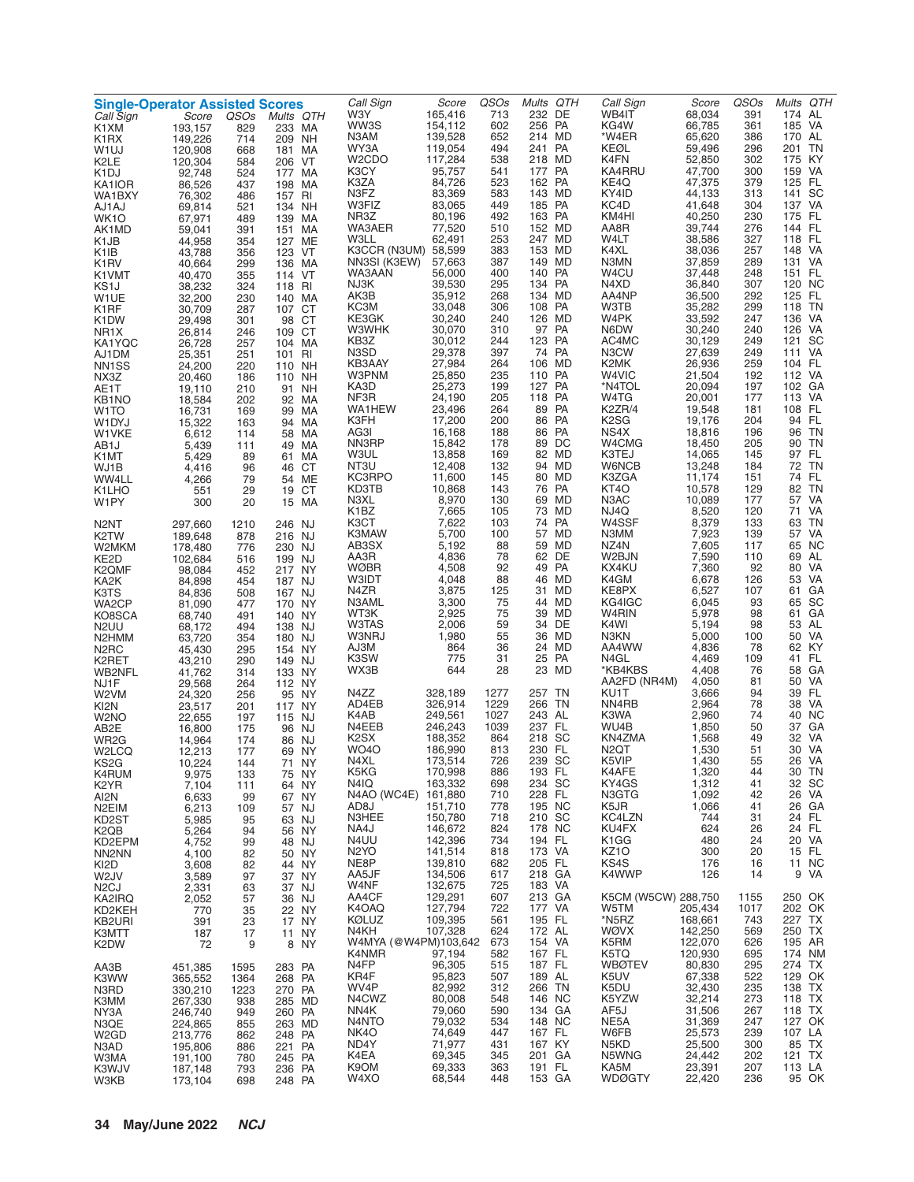| <b>Single-Operator Assisted Scores</b> |                    |             |                     | Call Sign                     | Score              | QSOs       | Mults QTH            | Call Sign                             | Score              | QSOs         | Mults QTH         |
|----------------------------------------|--------------------|-------------|---------------------|-------------------------------|--------------------|------------|----------------------|---------------------------------------|--------------------|--------------|-------------------|
| Call Sign<br>K1XM                      | Score<br>193,157   | QSOs<br>829 | Mults QTH<br>233 MA | W3Y<br>WW3S                   | 165,416<br>154,112 | 713<br>602 | 232 DE<br>256 PA     | WB4IT<br>KG4W                         | 68,034<br>66,785   | 391<br>361   | 174 AL<br>185 VA  |
| K <sub>1</sub> RX                      | 149,226            | 714         | 209 NH              | N3AM                          | 139,528            | 652        | 214 MD               | *W4ER                                 | 65,620             | 386          | 170 AL            |
| W <sub>1</sub> UJ                      | 120,908            | 668         | 181 MA              | WY3A                          | 119,054            | 494        | 241 PA               | KEØL                                  | 59,496             | 296          | TN<br>201         |
| K2LE                                   | 120,304            | 584         | 206 VT              | W <sub>2</sub> CDO<br>K3CY    | 117,284<br>95,757  | 538<br>541 | 218 MD<br>177 PA     | K4FN<br>KA4RRU                        | 52,850<br>47,700   | 302<br>300   | 175 KY<br>159 VA  |
| K1DJ<br>KA1IOR                         | 92,748<br>86,526   | 524<br>437  | 177 MA<br>198 MA    | K3ZA                          | 84,726             | 523        | 162 PA               | KE4Q                                  | 47,375             | 379          | 125 FL            |
| WA1BXY                                 | 76,302             | 486         | 157 RI              | N3FZ                          | 83,369             | 583        | 143 MD               | KY4ID                                 | 44,133             | 313          | SC<br>141         |
| AJ1AJ                                  | 69,814             | 521         | 134 NH              | W3FIZ                         | 83,065             | 449        | 185 PA               | KC4D                                  | 41,648             | 304          | 137 VA            |
| WK <sub>1</sub> O                      | 67,971<br>59,041   | 489         | 139 MA              | NR3Z<br>WA3AER                | 80,196<br>77,520   | 492<br>510 | 163 PA<br>152 MD     | KM4HI<br>AA8R                         | 40,250<br>39,744   | 230<br>276   | 175 FL<br>144 FL  |
| AK1MD<br>K1JB                          | 44,958             | 391<br>354  | 151 MA<br>127 ME    | <b>W3LL</b>                   | 62,491             | 253        | 247 MD               | W4LT                                  | 38,586             | 327          | 118 FL            |
| K1IB                                   | 43,788             | 356         | 123 VT              | K3CCR (N3UM) 58,599           |                    | 383        | 153 MD               | K4XL                                  | 38,036             | 257          | 148 VA            |
| K <sub>1</sub> RV                      | 40,664             | 299         | 136 MA              | NN3SI (K3EW)                  | 57,663             | 387        | 149 MD               | N3MN                                  | 37,859             | 289          | 131 VA            |
| K1VMT<br>KS1J                          | 40,470<br>38,232   | 355<br>324  | 114 VT<br>118 RI    | WA3AAN<br>NJ3K                | 56,000<br>39,530   | 400<br>295 | 140 PA<br>134 PA     | W4CU<br>N4XD                          | 37,448<br>36,840   | 248<br>307   | 151 FL<br>120 NC  |
| W1UE                                   | 32,200             | 230         | 140 MA              | AK3B                          | 35,912             | 268        | 134 MD               | AA4NP                                 | 36,500             | 292          | 125 FL            |
| K1RF                                   | 30,709             | 287         | 107 CT              | KC3M                          | 33,048             | 306        | 108 PA               | W3TB                                  | 35,282             | 299          | 118 TN            |
| K <sub>1</sub> DW                      | 29,498             | 301         | 98 CT               | KE3GK<br>W3WHK                | 30,240<br>30,070   | 240<br>310 | 126 MD<br>97 PA      | W4PK<br>N6DW                          | 33,592<br>30,240   | 247<br>240   | 136 VA<br>126 VA  |
| NR1X<br>KA1YQC                         | 26,814<br>26,728   | 246<br>257  | 109 CT<br>104 MA    | KB3Z                          | 30,012             | 244        | 123 PA               | AC4MC                                 | 30,129             | 249          | 121 SC            |
| AJ1DM                                  | 25,351             | 251         | 101 RI              | N3SD                          | 29,378             | 397        | 74 PA                | N3CW                                  | 27,639             | 249          | 111 VA            |
| NN <sub>1</sub> SS                     | 24,200             | 220         | 110 NH              | KB3AAY                        | 27,984             | 264        | 106 MD               | K2MK                                  | 26,936             | 259          | 104 FL            |
| NX3Z<br>AE1T                           | 20,460<br>19,110   | 186<br>210  | 110 NH<br>91 NH     | W3PNM<br>KA3D                 | 25,850<br>25,273   | 235<br>199 | 110 PA<br>127 PA     | W4VIC<br>*N4TOL                       | 21,504<br>20,094   | 192<br>197   | 112 VA<br>102 GA  |
| KB <sub>1</sub> NO                     | 18,584             | 202         | 92 MA               | NF3R                          | 24,190             | 205        | 118 PA               | W4TG                                  | 20,001             | 177          | 113 VA            |
| W1TO                                   | 16,731             | 169         | 99 MA               | WA1HEW                        | 23,496             | 264        | 89 PA                | K2ZR/4                                | 19,548             | 181          | 108 FL            |
| W1DYJ                                  | 15,322             | 163         | 94 MA               | K3FH<br>AG3I                  | 17,200<br>16,168   | 200<br>188 | PA<br>86<br>86<br>PA | K <sub>2</sub> S <sub>G</sub><br>NS4X | 19,176<br>18,816   | 204<br>196   | 94 FL<br>96 TN    |
| W1VKE<br>AB1J                          | 6,612<br>5,439     | 114<br>111  | 58 MA<br>49 MA      | NN3RP                         | 15,842             | 178        | 89 DC                | W4CMG                                 | 18,450             | 205          | 90 TN             |
| K1MT                                   | 5,429              | 89          | 61 MA               | <b>W3UL</b>                   | 13,858             | 169        | 82 MD                | K3TEJ                                 | 14,065             | 145          | 97 FL             |
| WJ1B                                   | 4,416              | 96          | 46 CT               | NT3U                          | 12,408             | 132        | 94 MD                | W6NCB                                 | 13,248             | 184          | 72 TN             |
| WW4LL                                  | 4,266              | 79          | 54 ME               | KC3RPO<br>KD3TB               | 11,600<br>10,868   | 145<br>143 | 80 MD<br>76 PA       | K3ZGA<br>KT4O                         | 11,174<br>10,578   | 151<br>129   | 74 FL<br>82 TN    |
| K1LHO<br>W1PY                          | 551<br>300         | 29<br>20    | 19 CT<br>15 MA      | N3XL                          | 8,970              | 130        | 69 MD                | N <sub>3</sub> AC                     | 10,089             | 177          | 57 VA             |
|                                        |                    |             |                     | K1BZ                          | 7,665              | 105        | 73 MD                | NJ4Q                                  | 8,520              | 120          | 71 VA             |
| N2NT                                   | 297,660            | 1210        | 246 NJ              | K3CT                          | 7,622              | 103        | 74 PA                | W4SSF                                 | 8,379              | 133          | 63 TN<br>57 VA    |
| K2TW<br>W2MKM                          | 189,648<br>178,480 | 878<br>776  | 216 NJ<br>230 NJ    | K3MAW<br>AB3SX                | 5,700<br>5,192     | 100<br>88  | 57 MD<br>59 MD       | N3MM<br>NZ4N                          | 7,923<br>7,605     | 139<br>117   | 65 NC             |
| KE2D                                   | 102,684            | 516         | 199 NJ              | AA3R                          | 4,836              | 78         | 62 DE                | W2BJN                                 | 7,590              | 110          | 69 AL             |
| K2QMF                                  | 98,084             | 452         | 217 NY              | <b>WØBR</b>                   | 4,508              | 92         | 49 PA                | KX4KU                                 | 7,360              | 92           | 80 VA             |
| KA2K                                   | 84,898             | 454         | 187 NJ              | <b>W3IDT</b><br>N4ZR          | 4,048<br>3,875     | 88<br>125  | 46 MD<br>31 MD       | K4GM<br>KE8PX                         | 6,678<br>6,527     | 126<br>107   | 53 VA<br>61 GA    |
| K3TS<br>WA2CP                          | 84,836<br>81,090   | 508<br>477  | 167 NJ<br>170 NY    | N3AML                         | 3,300              | 75         | 44 MD                | KG4IGC                                | 6,045              | 93           | 65 SC             |
| KO8SCA                                 | 68,740             | 491         | 140 NY              | WT3K                          | 2,925              | 75         | 39 MD                | W4RIN                                 | 5,978              | 98           | 61 GA             |
| N <sub>2</sub> UU                      | 68,172             | 494         | 138 NJ              | W3TAS                         | 2,006              | 59         | 34 DE                | K4WI                                  | 5,194              | 98           | 53 AL             |
| N2HMM                                  | 63,720             | 354         | 180 NJ<br>154 NY    | W3NRJ<br>AJ3M                 | 1,980<br>864       | 55<br>36   | 36 MD<br>24 MD       | N3KN<br>AA4WW                         | 5,000<br>4,836     | 100<br>78    | 50 VA<br>62 KY    |
| N <sub>2</sub> RC<br>K2RET             | 45,430<br>43,210   | 295<br>290  | 149 NJ              | K3SW                          | 775                | 31         | 25 PA                | N4GL                                  | 4,469              | 109          | 41 FL             |
| WB2NFL                                 | 41,762             | 314         | 133 NY              | WX3B                          | 644                | 28         | 23 MD                | *KB4KBS                               | 4,408              | 76           | 58 GA             |
| NJ1F                                   | 29,568             | 264         | 112 NY              | N4ZZ                          | 328,189            | 1277       | 257 TN               | AA2FD (NR4M)<br>KU1T                  | 4,050<br>3,666     | 81<br>94     | 50 VA<br>39 FL    |
| W2VM<br>KI2N                           | 24,320<br>23,517   | 256<br>201  | 95 NY<br>117 NY     | AD4EB                         | 326,914            | 1229       | 266 TN               | NN4RB                                 | 2,964              | 78           | VA<br>38          |
| W <sub>2</sub> NO                      | 22,655             | 197         | 115 NJ              | K4AB                          | 249,561            | 1027       | 243 AL               | K3WA                                  | 2,960              | 74           | 40 NC             |
| AB2E                                   | 16,800             | 175         | 96 NJ               | N4EEB                         | 246,243            | 1039       | 237 FL               | WU4B                                  | 1,850              | 50           | 37 GA             |
| WR <sub>2</sub> G<br>W2LCQ             | 14,964<br>12,213   | 174<br>177  | 86 NJ<br>69 NY      | K2SX<br>WO <sub>4</sub> O     | 188,352<br>186,990 | 864<br>813 | 218 SC<br>230 FL     | KN4ZMA<br>N <sub>2</sub> QT           | 1,568<br>1,530     | 49<br>51     | 32<br>VA<br>30 VA |
| KS2G                                   | 10.224             | 144         | 71<br>NY.           | N4XL                          | 173,514            | 726        | 239 SC               | K5VIP                                 | 1,430              | 55           | 26 VA             |
| K4RUM                                  | 9,975              | 133         | 75 NY               | K5KG                          | 170,998            | 886        | 193 FL               | K4AFE                                 | 1,320              | 44           | 30 TN             |
| K2YR                                   | 7,104              | 111         | 64 NY               | N4IQ<br>N4AO (WC4E)           | 163,332<br>161,880 | 698<br>710 | 234 SC<br>228 FL     | KY4GS<br>N3GTG                        | 1,312<br>1,092     | 41<br>42     | 32 SC<br>26 VA    |
| AI2N<br>N <sub>2</sub> EIM             | 6,633<br>6,213     | 99<br>109   | 67 NY<br>57 NJ      | AD8J                          | 151,710            | 778        | 195 NC               | K5JR                                  | 1,066              | 41           | 26 GA             |
| KD2ST                                  | 5,985              | 95          | 63 NJ               | N3HEE                         | 150,780            | 718        | 210 SC               | KC4LZN                                | 744                | 31           | 24 FL             |
| K2QB                                   | 5,264              | 94          | 56 NY               | NA4J                          | 146,672            | 824        | 178 NC               | KU4FX                                 | 624                | 26           | 24 FL             |
| KD2EPM                                 | 4,752              | 99          | 48 NJ               | N4UU<br>N <sub>2</sub> YO     | 142,396<br>141,514 | 734<br>818 | 194 FL<br>173 VA     | K <sub>1</sub> GG<br>KZ <sub>10</sub> | 480<br>300         | 24<br>20     | 20 VA<br>15 FL    |
| NN2NN<br>KI2D                          | 4,100<br>3,608     | 82<br>82    | 50 NY<br>44 NY      | NE8P                          | 139,810            | 682        | 205 FL               | KS4S                                  | 176                | 16           | 11 NC             |
| W <sub>2</sub> JV                      | 3,589              | 97          | 37 NY               | AA5JF                         | 134,506            | 617        | 218 GA               | K4WWP                                 | 126                | 14           | 9 VA              |
| N <sub>2</sub> CJ                      | 2,331              | 63          | 37 NJ               | W4NF                          | 132,675            | 725        | 183 VA               |                                       |                    |              | 250 OK            |
| KA2IRQ<br>KD2KEH                       | 2,052<br>770       | 57<br>35    | 36 NJ<br>22 NY      | AA4CF<br>K4OAQ                | 129,291<br>127,794 | 607<br>722 | 213 GA<br>177 VA     | K5CM (W5CW) 288,750<br>W5TM           | 205,434            | 1155<br>1017 | 202 OK            |
| KB2URI                                 | 391                | 23          | 17 NY               | <b>KØLUZ</b>                  | 109,395            | 561        | 195 FL               | *N5RZ                                 | 168,661            | 743          | 227 TX            |
| K3MTT                                  | 187                | 17          | 11 NY               | N4KH                          | 107,328            | 624        | 172 AL               | WØVX                                  | 142,250            | 569          | 250 TX            |
| K2DW                                   | 72                 | 9           | <b>NY</b><br>8      | W4MYA (@W4PM)103,642<br>K4NMR | 97,194             | 673<br>582 | 154 VA<br>167 FL     | K5RM<br>K5TQ                          | 122,070<br>120,930 | 626<br>695   | 195 AR<br>174 NM  |
| AA3B                                   | 451,385            | 1595        | 283 PA              | N4FP                          | 96,305             | 515        | 187 FL               | <b>WBØTEV</b>                         | 80,830             | 295          | 274 TX            |
| K3WW                                   | 365,552            | 1364        | 268 PA              | KR4F                          | 95,823             | 507        | 189 AL               | K5UV                                  | 67,338             | 522          | 129 OK            |
| N3RD                                   | 330,210            | 1223        | 270 PA              | WV4P                          | 82,992             | 312        | 266 TN               | K5DU                                  | 32,430             | 235          | 138 TX            |
| K3MM<br>NY3A                           | 267,330<br>246,740 | 938<br>949  | 285 MD<br>260 PA    | N4CWZ<br>NN4K                 | 80,008<br>79,060   | 548<br>590 | 146 NC<br>134 GA     | K5YZW<br>AF5J                         | 32,214<br>31,506   | 273<br>267   | 118 TX<br>118 TX  |
| N3QE                                   | 224,865            | 855         | 263 MD              | N4NTO                         | 79,032             | 534        | 148 NC               | NE <sub>5</sub> A                     | 31,369             | 247          | 127 OK            |
| W <sub>2</sub> GD                      | 213,776            | 862         | 248 PA              | NK4O                          | 74,649             | 447        | 167 FL               | W6FB                                  | 25,573             | 239          | 107 LA            |
| N3AD                                   | 195,806            | 886         | 221 PA              | ND4Y<br>K4EA                  | 71,977<br>69,345   | 431<br>345 | 167 KY<br>201 GA     | N5KD<br>N5WNG                         | 25,500<br>24,442   | 300<br>202   | 85 TX<br>121 TX   |
| W3MA<br>K3WJV                          | 191,100<br>187,148 | 780<br>793  | 245 PA<br>236 PA    | K9OM                          | 69,333             | 363        | 191 FL               | KA5M                                  | 23,391             | 207          | 113 LA            |
| W3KB                                   | 173,104            | 698         | 248 PA              | W4XO                          | 68,544             | 448        | 153 GA               | <b>WDØGTY</b>                         | 22,420             | 236          | 95 OK             |